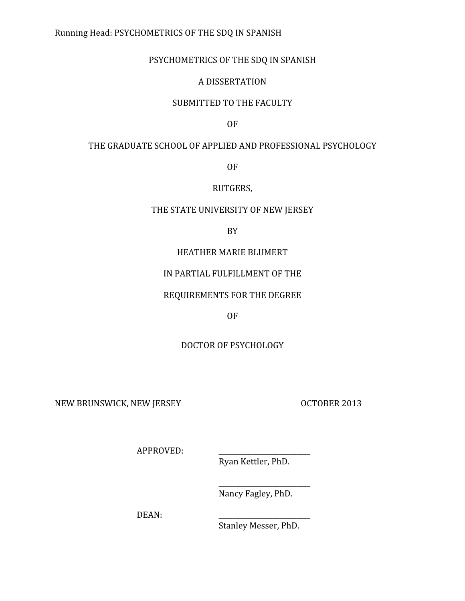# Running
Head:
PSYCHOMETRICS
OF
THE
SDQ
IN
SPANISH

# PSYCHOMETRICS OF THE SDQ IN SPANISH

# A
DISSERTATION

# SUBMITTED TO THE FACULTY

OF

# THE GRADUATE SCHOOL OF APPLIED AND PROFESSIONAL PSYCHOLOGY

OF

# RUTGERS,

# THE STATE UNIVERSITY OF NEW JERSEY

BY

# HEATHER
MARIE
BLUMERT

# IN
PARTIAL
FULFILLMENT
OF
THE

# REQUIREMENTS
FOR
THE
DEGREE

# OF

# DOCTOR
OF
PSYCHOLOGY

NEW BRUNSWICK, NEW JERSEY OCTOBER 2013

APPROVED:

Ryan
Kettler,
PhD.

Nancy
Fagley,
PhD.

\_\_\_\_\_\_\_\_\_\_\_\_\_\_\_\_\_\_\_\_\_\_\_\_\_\_\_

DEAN:

Stanley
Messer,
PhD.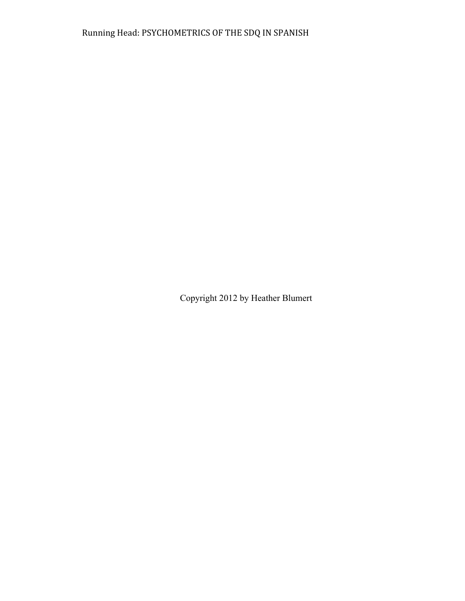Copyright 2012 by Heather Blumert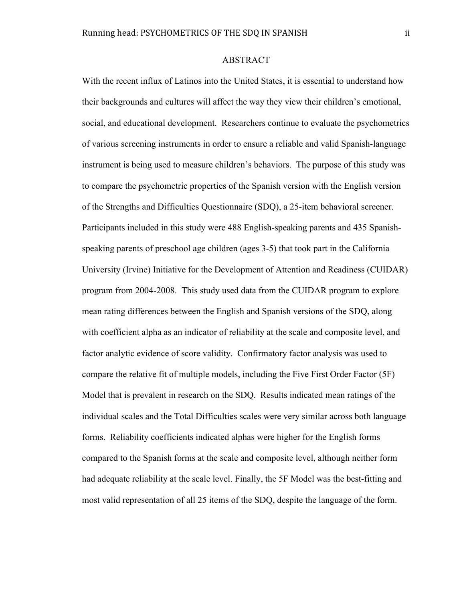#### ABSTRACT

With the recent influx of Latinos into the United States, it is essential to understand how their backgrounds and cultures will affect the way they view their children's emotional, social, and educational development. Researchers continue to evaluate the psychometrics of various screening instruments in order to ensure a reliable and valid Spanish-language instrument is being used to measure children's behaviors. The purpose of this study was to compare the psychometric properties of the Spanish version with the English version of the Strengths and Difficulties Questionnaire (SDQ), a 25-item behavioral screener. Participants included in this study were 488 English-speaking parents and 435 Spanishspeaking parents of preschool age children (ages 3-5) that took part in the California University (Irvine) Initiative for the Development of Attention and Readiness (CUIDAR) program from 2004-2008. This study used data from the CUIDAR program to explore mean rating differences between the English and Spanish versions of the SDQ, along with coefficient alpha as an indicator of reliability at the scale and composite level, and factor analytic evidence of score validity. Confirmatory factor analysis was used to compare the relative fit of multiple models, including the Five First Order Factor (5F) Model that is prevalent in research on the SDQ. Results indicated mean ratings of the individual scales and the Total Difficulties scales were very similar across both language forms. Reliability coefficients indicated alphas were higher for the English forms compared to the Spanish forms at the scale and composite level, although neither form had adequate reliability at the scale level. Finally, the 5F Model was the best-fitting and most valid representation of all 25 items of the SDQ, despite the language of the form.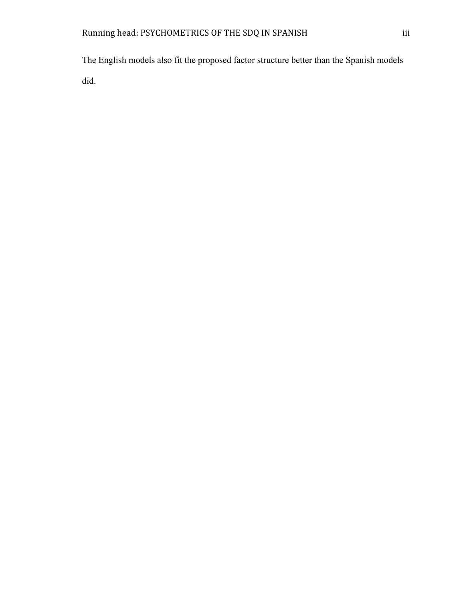The English models also fit the proposed factor structure better than the Spanish models did.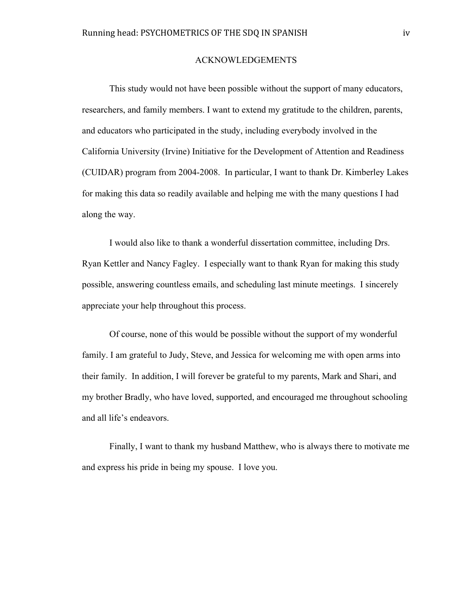#### ACKNOWLEDGEMENTS

This study would not have been possible without the support of many educators, researchers, and family members. I want to extend my gratitude to the children, parents, and educators who participated in the study, including everybody involved in the California University (Irvine) Initiative for the Development of Attention and Readiness (CUIDAR) program from 2004-2008. In particular, I want to thank Dr. Kimberley Lakes for making this data so readily available and helping me with the many questions I had along the way.

I would also like to thank a wonderful dissertation committee, including Drs. Ryan Kettler and Nancy Fagley. I especially want to thank Ryan for making this study possible, answering countless emails, and scheduling last minute meetings. I sincerely appreciate your help throughout this process.

Of course, none of this would be possible without the support of my wonderful family. I am grateful to Judy, Steve, and Jessica for welcoming me with open arms into their family. In addition, I will forever be grateful to my parents, Mark and Shari, and my brother Bradly, who have loved, supported, and encouraged me throughout schooling and all life's endeavors.

Finally, I want to thank my husband Matthew, who is always there to motivate me and express his pride in being my spouse. I love you.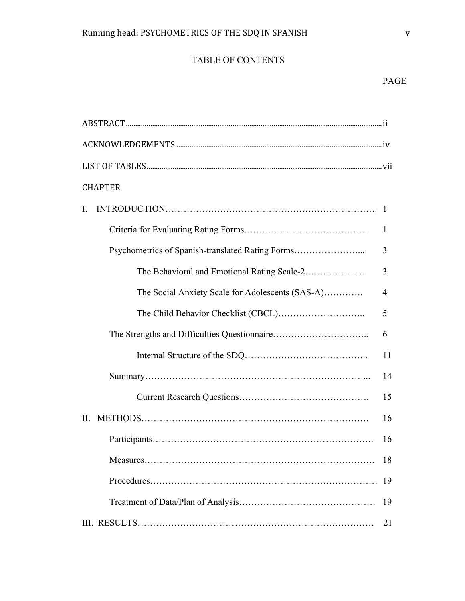# TABLE OF CONTENTS

| <b>CHAPTER</b>                                   |    |
|--------------------------------------------------|----|
| $\mathbf{L}$                                     |    |
|                                                  | 1  |
| Psychometrics of Spanish-translated Rating Forms | 3  |
| The Behavioral and Emotional Rating Scale-2      | 3  |
| The Social Anxiety Scale for Adolescents (SAS-A) | 4  |
|                                                  | 5  |
|                                                  | 6  |
|                                                  | 11 |
|                                                  | 14 |
|                                                  | 15 |
| II.                                              | 16 |
|                                                  | 16 |
|                                                  | 18 |
|                                                  | 19 |
|                                                  | 19 |
|                                                  | 21 |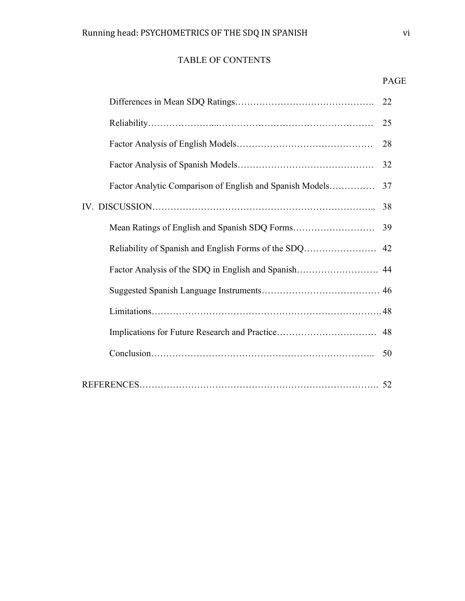# TABLE OF CONTENTS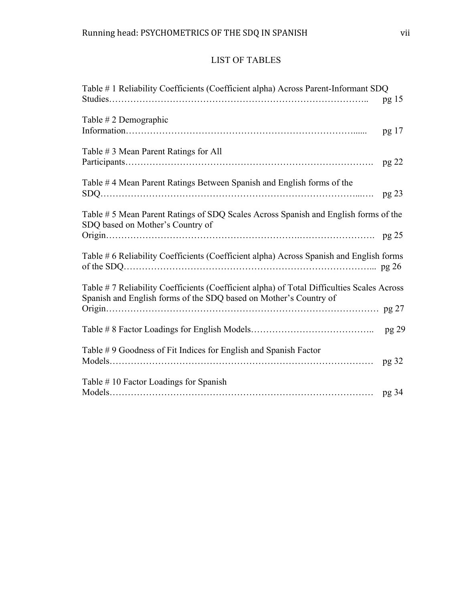# LIST OF TABLES

| Table # 1 Reliability Coefficients (Coefficient alpha) Across Parent-Informant SDQ                                                                             | pg 15 |
|----------------------------------------------------------------------------------------------------------------------------------------------------------------|-------|
| Table # 2 Demographic                                                                                                                                          | pg 17 |
| Table #3 Mean Parent Ratings for All                                                                                                                           | pg 22 |
| Table #4 Mean Parent Ratings Between Spanish and English forms of the                                                                                          | pg 23 |
| Table # 5 Mean Parent Ratings of SDQ Scales Across Spanish and English forms of the<br>SDQ based on Mother's Country of                                        |       |
| Table #6 Reliability Coefficients (Coefficient alpha) Across Spanish and English forms                                                                         |       |
| Table #7 Reliability Coefficients (Coefficient alpha) of Total Difficulties Scales Across<br>Spanish and English forms of the SDQ based on Mother's Country of |       |
|                                                                                                                                                                |       |
|                                                                                                                                                                | pg 29 |
| Table #9 Goodness of Fit Indices for English and Spanish Factor                                                                                                | pg 32 |
| Table #10 Factor Loadings for Spanish                                                                                                                          |       |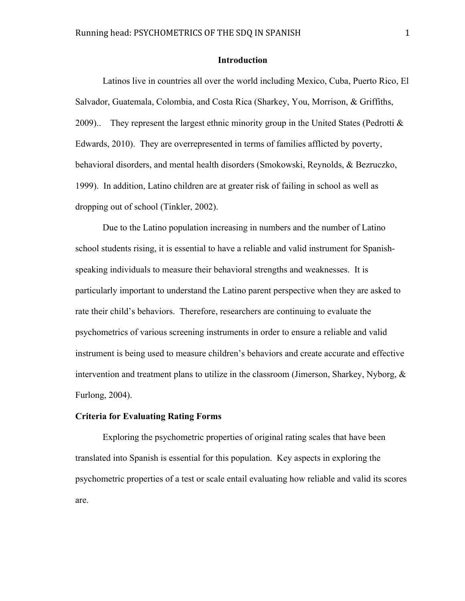#### **Introduction**

Latinos live in countries all over the world including Mexico, Cuba, Puerto Rico, El Salvador, Guatemala, Colombia, and Costa Rica (Sharkey, You, Morrison, & Griffiths, 2009). They represent the largest ethnic minority group in the United States (Pedrotti  $\&$ Edwards, 2010). They are overrepresented in terms of families afflicted by poverty, behavioral disorders, and mental health disorders (Smokowski, Reynolds, & Bezruczko, 1999). In addition, Latino children are at greater risk of failing in school as well as dropping out of school (Tinkler, 2002).

Due to the Latino population increasing in numbers and the number of Latino school students rising, it is essential to have a reliable and valid instrument for Spanishspeaking individuals to measure their behavioral strengths and weaknesses. It is particularly important to understand the Latino parent perspective when they are asked to rate their child's behaviors. Therefore, researchers are continuing to evaluate the psychometrics of various screening instruments in order to ensure a reliable and valid instrument is being used to measure children's behaviors and create accurate and effective intervention and treatment plans to utilize in the classroom (Jimerson, Sharkey, Nyborg,  $\&$ Furlong, 2004).

#### **Criteria for Evaluating Rating Forms**

Exploring the psychometric properties of original rating scales that have been translated into Spanish is essential for this population. Key aspects in exploring the psychometric properties of a test or scale entail evaluating how reliable and valid its scores are.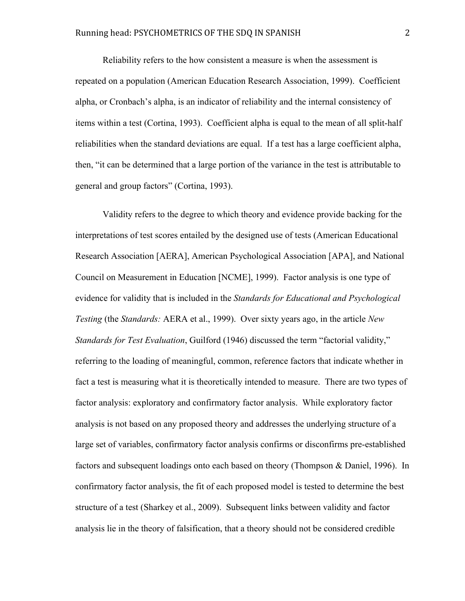Reliability refers to the how consistent a measure is when the assessment is repeated on a population (American Education Research Association, 1999). Coefficient alpha, or Cronbach's alpha, is an indicator of reliability and the internal consistency of items within a test (Cortina, 1993). Coefficient alpha is equal to the mean of all split-half reliabilities when the standard deviations are equal. If a test has a large coefficient alpha, then, "it can be determined that a large portion of the variance in the test is attributable to general and group factors" (Cortina, 1993).

Validity refers to the degree to which theory and evidence provide backing for the interpretations of test scores entailed by the designed use of tests (American Educational Research Association [AERA], American Psychological Association [APA], and National Council on Measurement in Education [NCME], 1999). Factor analysis is one type of evidence for validity that is included in the *Standards for Educational and Psychological Testing* (the *Standards:* AERA et al., 1999). Over sixty years ago, in the article *New Standards for Test Evaluation*, Guilford (1946) discussed the term "factorial validity," referring to the loading of meaningful, common, reference factors that indicate whether in fact a test is measuring what it is theoretically intended to measure. There are two types of factor analysis: exploratory and confirmatory factor analysis. While exploratory factor analysis is not based on any proposed theory and addresses the underlying structure of a large set of variables, confirmatory factor analysis confirms or disconfirms pre-established factors and subsequent loadings onto each based on theory (Thompson & Daniel, 1996). In confirmatory factor analysis, the fit of each proposed model is tested to determine the best structure of a test (Sharkey et al., 2009). Subsequent links between validity and factor analysis lie in the theory of falsification, that a theory should not be considered credible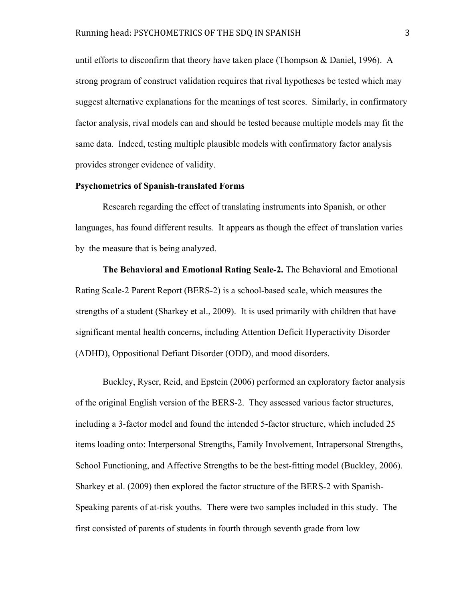until efforts to disconfirm that theory have taken place (Thompson & Daniel, 1996). A strong program of construct validation requires that rival hypotheses be tested which may suggest alternative explanations for the meanings of test scores. Similarly, in confirmatory factor analysis, rival models can and should be tested because multiple models may fit the same data. Indeed, testing multiple plausible models with confirmatory factor analysis provides stronger evidence of validity.

#### **Psychometrics of Spanish-translated Forms**

Research regarding the effect of translating instruments into Spanish, or other languages, has found different results. It appears as though the effect of translation varies by the measure that is being analyzed.

**The Behavioral and Emotional Rating Scale-2.** The Behavioral and Emotional Rating Scale-2 Parent Report (BERS-2) is a school-based scale, which measures the strengths of a student (Sharkey et al., 2009). It is used primarily with children that have significant mental health concerns, including Attention Deficit Hyperactivity Disorder (ADHD), Oppositional Defiant Disorder (ODD), and mood disorders.

Buckley, Ryser, Reid, and Epstein (2006) performed an exploratory factor analysis of the original English version of the BERS-2. They assessed various factor structures, including a 3-factor model and found the intended 5-factor structure, which included 25 items loading onto: Interpersonal Strengths, Family Involvement, Intrapersonal Strengths, School Functioning, and Affective Strengths to be the best-fitting model (Buckley, 2006). Sharkey et al. (2009) then explored the factor structure of the BERS-2 with Spanish-Speaking parents of at-risk youths. There were two samples included in this study. The first consisted of parents of students in fourth through seventh grade from low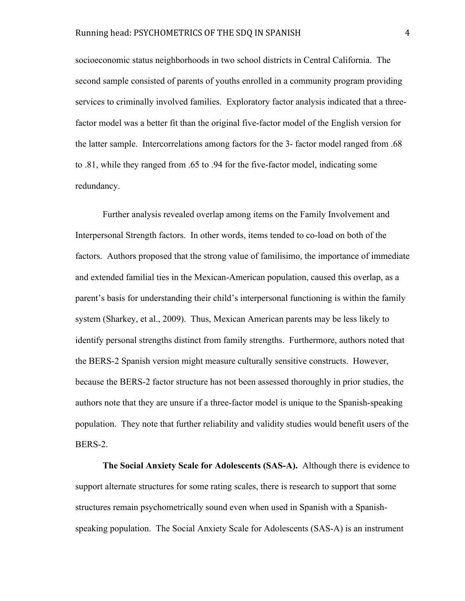socioeconomic status neighborhoods in two school districts in Central California. The second sample consisted of parents of youths enrolled in a community program providing services to criminally involved families. Exploratory factor analysis indicated that a threefactor model was a better fit than the original five-factor model of the English version for the latter sample. Intercorrelations among factors for the 3- factor model ranged from .68 to .81, while they ranged from .65 to .94 for the five-factor model, indicating some redundancy.

Further analysis revealed overlap among items on the Family Involvement and Interpersonal Strength factors. In other words, items tended to co-load on both of the factors. Authors proposed that the strong value of familisimo, the importance of immediate and extended familial ties in the Mexican-American population, caused this overlap, as a parent's basis for understanding their child's interpersonal functioning is within the family system (Sharkey, et al., 2009). Thus, Mexican American parents may be less likely to identify personal strengths distinct from family strengths. Furthermore, authors noted that the BERS-2 Spanish version might measure culturally sensitive constructs. However, because the BERS-2 factor structure has not been assessed thoroughly in prior studies, the authors note that they are unsure if a three-factor model is unique to the Spanish-speaking population. They note that further reliability and validity studies would benefit users of the BERS-2.

**The Social Anxiety Scale for Adolescents (SAS-A).** Although there is evidence to support alternate structures for some rating scales, there is research to support that some structures remain psychometrically sound even when used in Spanish with a Spanishspeaking population. The Social Anxiety Scale for Adolescents (SAS-A) is an instrument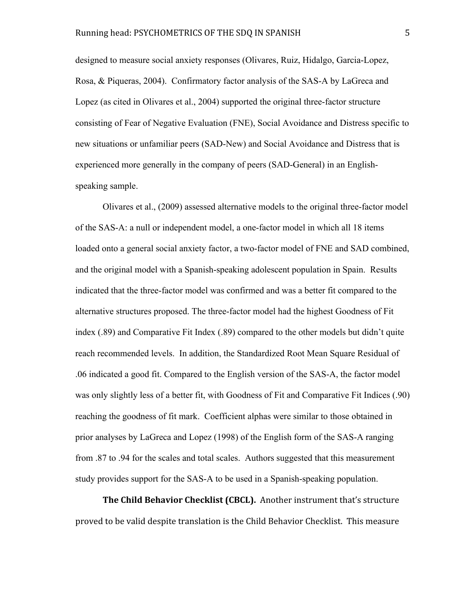designed to measure social anxiety responses (Olivares, Ruiz, Hidalgo, Garcia-Lopez, Rosa, & Piqueras, 2004). Confirmatory factor analysis of the SAS-A by LaGreca and Lopez (as cited in Olivares et al., 2004) supported the original three-factor structure consisting of Fear of Negative Evaluation (FNE), Social Avoidance and Distress specific to new situations or unfamiliar peers (SAD-New) and Social Avoidance and Distress that is experienced more generally in the company of peers (SAD-General) in an Englishspeaking sample.

Olivares et al., (2009) assessed alternative models to the original three-factor model of the SAS-A: a null or independent model, a one-factor model in which all 18 items loaded onto a general social anxiety factor, a two-factor model of FNE and SAD combined, and the original model with a Spanish-speaking adolescent population in Spain. Results indicated that the three-factor model was confirmed and was a better fit compared to the alternative structures proposed. The three-factor model had the highest Goodness of Fit index (.89) and Comparative Fit Index (.89) compared to the other models but didn't quite reach recommended levels. In addition, the Standardized Root Mean Square Residual of .06 indicated a good fit. Compared to the English version of the SAS-A, the factor model was only slightly less of a better fit, with Goodness of Fit and Comparative Fit Indices (.90) reaching the goodness of fit mark. Coefficient alphas were similar to those obtained in prior analyses by LaGreca and Lopez (1998) of the English form of the SAS-A ranging from .87 to .94 for the scales and total scales. Authors suggested that this measurement study provides support for the SAS-A to be used in a Spanish-speaking population.

**The Child Behavior Checklist (CBCL).** Another instrument that's structure proved
to
be
valid
despite
translation
is
the
Child
Behavior
Checklist.

This
measure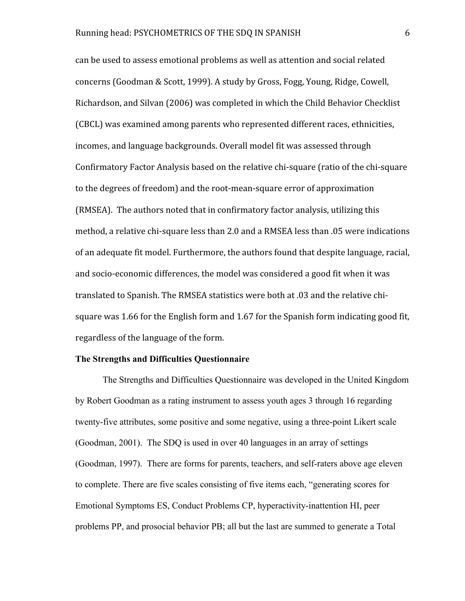can
be
used
to
assess
emotional
problems
as
well
as
attention
and
social
related concerns
(Goodman
&
Scott,
1999).
A
study
by
Gross,
Fogg,
Young,
Ridge,
Cowell, Richardson,
and
Silvan
(2006)
was
completed
in
which
the
Child
Behavior
Checklist (CBCL)
was
examined
among
parents
who
represented
different
races,
ethnicities, incomes,
and
language
backgrounds.
Overall
model
fit
was
assessed
through Confirmatory Factor Analysis based on the relative chi-square (ratio of the chi-square to
the
degrees
of
freedom)
and
the
root‐mean‐square
error
of
approximation (RMSEA).

The authors
noted
that
in
confirmatory
factor
analysis,
utilizing
this method, a relative chi-square less than 2.0 and a RMSEA less than .05 were indications of
an
adequate
fit
model.
Furthermore,
the
authors
found
that
despite
language,
racial, and
socio‐economic
differences,
the
model
was
considered
a
good
fit
when
it
was translated to Spanish. The RMSEA statistics were both at 0.03 and the relative chisquare was 1.66 for the English form and 1.67 for the Spanish form indicating good fit, regardless
of
the
language
of
the
form.

## **The Strengths and Difficulties Questionnaire**

The Strengths and Difficulties Questionnaire was developed in the United Kingdom by Robert Goodman as a rating instrument to assess youth ages 3 through 16 regarding twenty-five attributes, some positive and some negative, using a three-point Likert scale (Goodman, 2001). The SDQ is used in over 40 languages in an array of settings (Goodman, 1997). There are forms for parents, teachers, and self-raters above age eleven to complete. There are five scales consisting of five items each, "generating scores for Emotional Symptoms ES, Conduct Problems CP, hyperactivity-inattention HI, peer problems PP, and prosocial behavior PB; all but the last are summed to generate a Total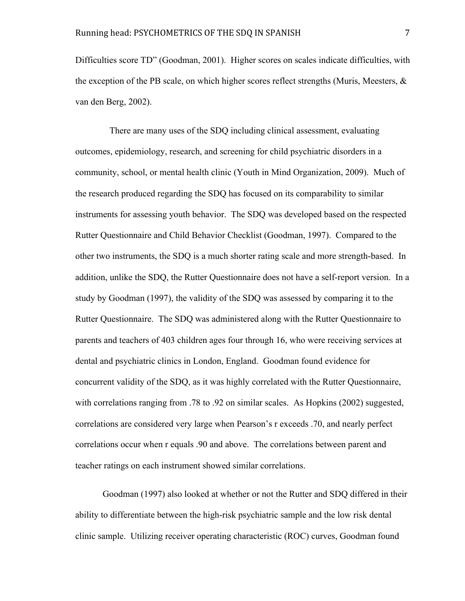Difficulties score TD" (Goodman, 2001). Higher scores on scales indicate difficulties, with the exception of the PB scale, on which higher scores reflect strengths (Muris, Meesters, & van den Berg, 2002).

 There are many uses of the SDQ including clinical assessment, evaluating outcomes, epidemiology, research, and screening for child psychiatric disorders in a community, school, or mental health clinic (Youth in Mind Organization, 2009). Much of the research produced regarding the SDQ has focused on its comparability to similar instruments for assessing youth behavior. The SDQ was developed based on the respected Rutter Questionnaire and Child Behavior Checklist (Goodman, 1997). Compared to the other two instruments, the SDQ is a much shorter rating scale and more strength-based. In addition, unlike the SDQ, the Rutter Questionnaire does not have a self-report version. In a study by Goodman (1997), the validity of the SDQ was assessed by comparing it to the Rutter Questionnaire. The SDQ was administered along with the Rutter Questionnaire to parents and teachers of 403 children ages four through 16, who were receiving services at dental and psychiatric clinics in London, England. Goodman found evidence for concurrent validity of the SDQ, as it was highly correlated with the Rutter Questionnaire, with correlations ranging from .78 to .92 on similar scales. As Hopkins (2002) suggested, correlations are considered very large when Pearson's r exceeds .70, and nearly perfect correlations occur when r equals .90 and above. The correlations between parent and teacher ratings on each instrument showed similar correlations.

Goodman (1997) also looked at whether or not the Rutter and SDQ differed in their ability to differentiate between the high-risk psychiatric sample and the low risk dental clinic sample. Utilizing receiver operating characteristic (ROC) curves, Goodman found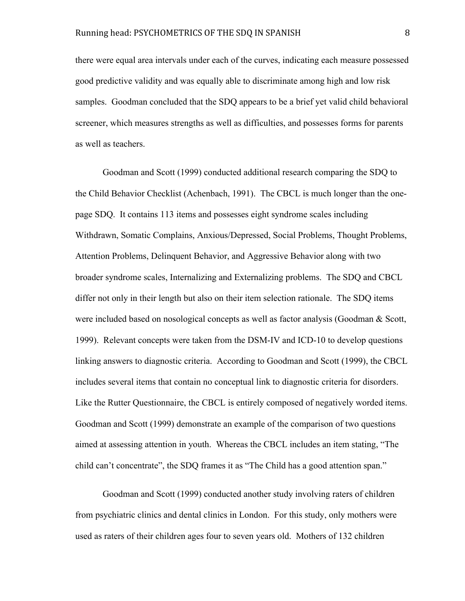there were equal area intervals under each of the curves, indicating each measure possessed good predictive validity and was equally able to discriminate among high and low risk samples. Goodman concluded that the SDQ appears to be a brief yet valid child behavioral screener, which measures strengths as well as difficulties, and possesses forms for parents as well as teachers.

Goodman and Scott (1999) conducted additional research comparing the SDQ to the Child Behavior Checklist (Achenbach, 1991). The CBCL is much longer than the onepage SDQ. It contains 113 items and possesses eight syndrome scales including Withdrawn, Somatic Complains, Anxious/Depressed, Social Problems, Thought Problems, Attention Problems, Delinquent Behavior, and Aggressive Behavior along with two broader syndrome scales, Internalizing and Externalizing problems. The SDQ and CBCL differ not only in their length but also on their item selection rationale. The SDQ items were included based on nosological concepts as well as factor analysis (Goodman & Scott, 1999). Relevant concepts were taken from the DSM-IV and ICD-10 to develop questions linking answers to diagnostic criteria. According to Goodman and Scott (1999), the CBCL includes several items that contain no conceptual link to diagnostic criteria for disorders. Like the Rutter Questionnaire, the CBCL is entirely composed of negatively worded items. Goodman and Scott (1999) demonstrate an example of the comparison of two questions aimed at assessing attention in youth. Whereas the CBCL includes an item stating, "The child can't concentrate", the SDQ frames it as "The Child has a good attention span."

Goodman and Scott (1999) conducted another study involving raters of children from psychiatric clinics and dental clinics in London. For this study, only mothers were used as raters of their children ages four to seven years old. Mothers of 132 children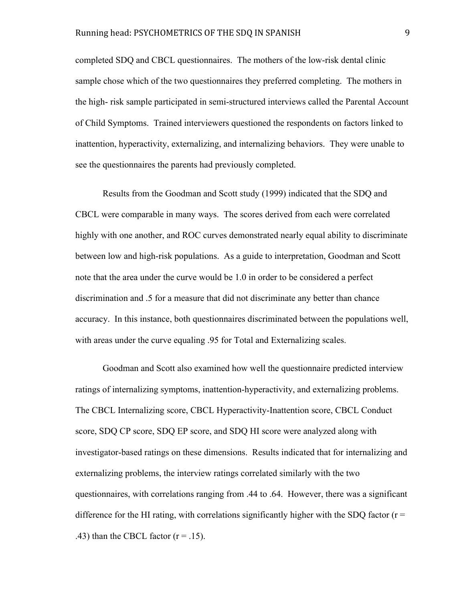#### Running head: PSYCHOMETRICS OF THE SDQ IN SPANISH 9

completed SDQ and CBCL questionnaires. The mothers of the low-risk dental clinic sample chose which of the two questionnaires they preferred completing. The mothers in the high- risk sample participated in semi-structured interviews called the Parental Account of Child Symptoms. Trained interviewers questioned the respondents on factors linked to inattention, hyperactivity, externalizing, and internalizing behaviors. They were unable to see the questionnaires the parents had previously completed.

Results from the Goodman and Scott study (1999) indicated that the SDQ and CBCL were comparable in many ways. The scores derived from each were correlated highly with one another, and ROC curves demonstrated nearly equal ability to discriminate between low and high-risk populations. As a guide to interpretation, Goodman and Scott note that the area under the curve would be 1.0 in order to be considered a perfect discrimination and .5 for a measure that did not discriminate any better than chance accuracy. In this instance, both questionnaires discriminated between the populations well, with areas under the curve equaling .95 for Total and Externalizing scales.

Goodman and Scott also examined how well the questionnaire predicted interview ratings of internalizing symptoms, inattention-hyperactivity, and externalizing problems. The CBCL Internalizing score, CBCL Hyperactivity-Inattention score, CBCL Conduct score, SDQ CP score, SDQ EP score, and SDQ HI score were analyzed along with investigator-based ratings on these dimensions. Results indicated that for internalizing and externalizing problems, the interview ratings correlated similarly with the two questionnaires, with correlations ranging from .44 to .64. However, there was a significant difference for the HI rating, with correlations significantly higher with the SDQ factor ( $r =$ .43) than the CBCL factor  $(r = .15)$ .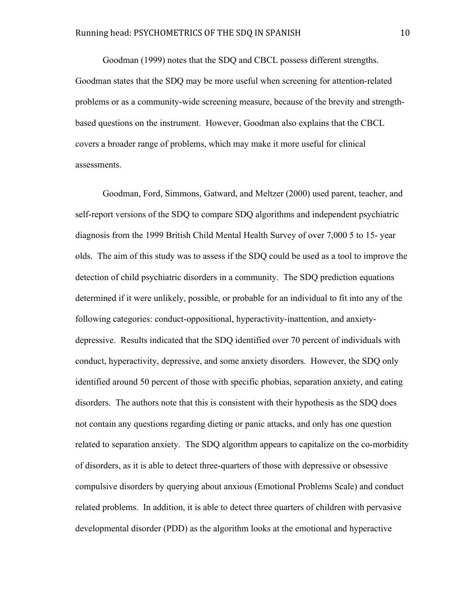Goodman (1999) notes that the SDQ and CBCL possess different strengths. Goodman states that the SDQ may be more useful when screening for attention-related problems or as a community-wide screening measure, because of the brevity and strengthbased questions on the instrument. However, Goodman also explains that the CBCL covers a broader range of problems, which may make it more useful for clinical assessments.

Goodman, Ford, Simmons, Gatward, and Meltzer (2000) used parent, teacher, and self-report versions of the SDQ to compare SDQ algorithms and independent psychiatric diagnosis from the 1999 British Child Mental Health Survey of over 7,000 5 to 15- year olds. The aim of this study was to assess if the SDQ could be used as a tool to improve the detection of child psychiatric disorders in a community. The SDQ prediction equations determined if it were unlikely, possible, or probable for an individual to fit into any of the following categories: conduct-oppositional, hyperactivity-inattention, and anxietydepressive. Results indicated that the SDQ identified over 70 percent of individuals with conduct, hyperactivity, depressive, and some anxiety disorders. However, the SDQ only identified around 50 percent of those with specific phobias, separation anxiety, and eating disorders. The authors note that this is consistent with their hypothesis as the SDQ does not contain any questions regarding dieting or panic attacks, and only has one question related to separation anxiety. The SDQ algorithm appears to capitalize on the co-morbidity of disorders, as it is able to detect three-quarters of those with depressive or obsessive compulsive disorders by querying about anxious (Emotional Problems Scale) and conduct related problems. In addition, it is able to detect three quarters of children with pervasive developmental disorder (PDD) as the algorithm looks at the emotional and hyperactive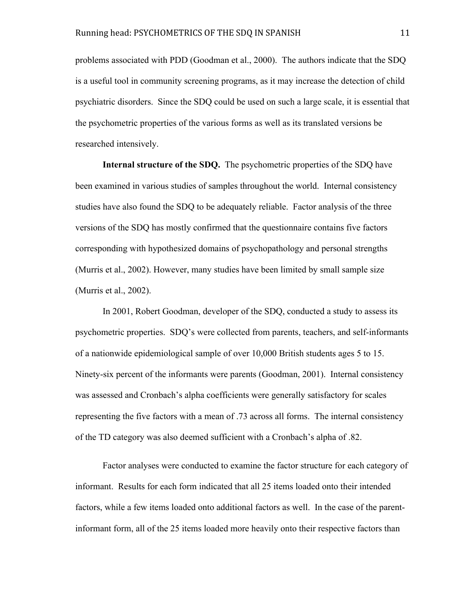problems associated with PDD (Goodman et al., 2000). The authors indicate that the SDQ is a useful tool in community screening programs, as it may increase the detection of child psychiatric disorders. Since the SDQ could be used on such a large scale, it is essential that the psychometric properties of the various forms as well as its translated versions be researched intensively.

**Internal structure of the SDQ.** The psychometric properties of the SDQ have been examined in various studies of samples throughout the world. Internal consistency studies have also found the SDQ to be adequately reliable. Factor analysis of the three versions of the SDQ has mostly confirmed that the questionnaire contains five factors corresponding with hypothesized domains of psychopathology and personal strengths (Murris et al., 2002). However, many studies have been limited by small sample size (Murris et al., 2002).

In 2001, Robert Goodman, developer of the SDQ, conducted a study to assess its psychometric properties. SDQ's were collected from parents, teachers, and self-informants of a nationwide epidemiological sample of over 10,000 British students ages 5 to 15. Ninety-six percent of the informants were parents (Goodman, 2001). Internal consistency was assessed and Cronbach's alpha coefficients were generally satisfactory for scales representing the five factors with a mean of .73 across all forms. The internal consistency of the TD category was also deemed sufficient with a Cronbach's alpha of .82.

Factor analyses were conducted to examine the factor structure for each category of informant. Results for each form indicated that all 25 items loaded onto their intended factors, while a few items loaded onto additional factors as well. In the case of the parentinformant form, all of the 25 items loaded more heavily onto their respective factors than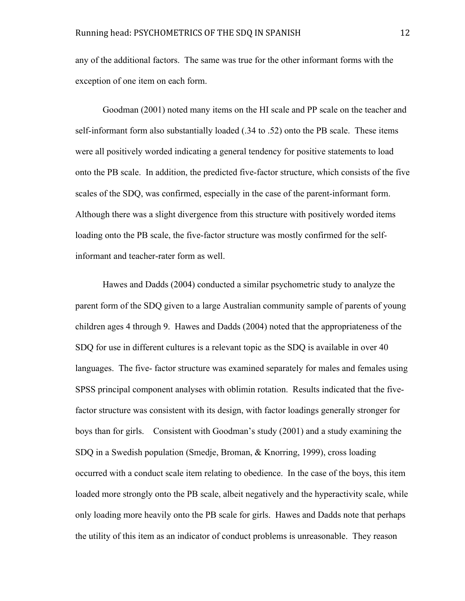any of the additional factors. The same was true for the other informant forms with the exception of one item on each form.

Goodman (2001) noted many items on the HI scale and PP scale on the teacher and self-informant form also substantially loaded (.34 to .52) onto the PB scale. These items were all positively worded indicating a general tendency for positive statements to load onto the PB scale. In addition, the predicted five-factor structure, which consists of the five scales of the SDQ, was confirmed, especially in the case of the parent-informant form. Although there was a slight divergence from this structure with positively worded items loading onto the PB scale, the five-factor structure was mostly confirmed for the selfinformant and teacher-rater form as well.

Hawes and Dadds (2004) conducted a similar psychometric study to analyze the parent form of the SDQ given to a large Australian community sample of parents of young children ages 4 through 9. Hawes and Dadds (2004) noted that the appropriateness of the SDQ for use in different cultures is a relevant topic as the SDQ is available in over 40 languages. The five- factor structure was examined separately for males and females using SPSS principal component analyses with oblimin rotation. Results indicated that the fivefactor structure was consistent with its design, with factor loadings generally stronger for boys than for girls. Consistent with Goodman's study (2001) and a study examining the SDQ in a Swedish population (Smedje, Broman, & Knorring, 1999), cross loading occurred with a conduct scale item relating to obedience. In the case of the boys, this item loaded more strongly onto the PB scale, albeit negatively and the hyperactivity scale, while only loading more heavily onto the PB scale for girls. Hawes and Dadds note that perhaps the utility of this item as an indicator of conduct problems is unreasonable. They reason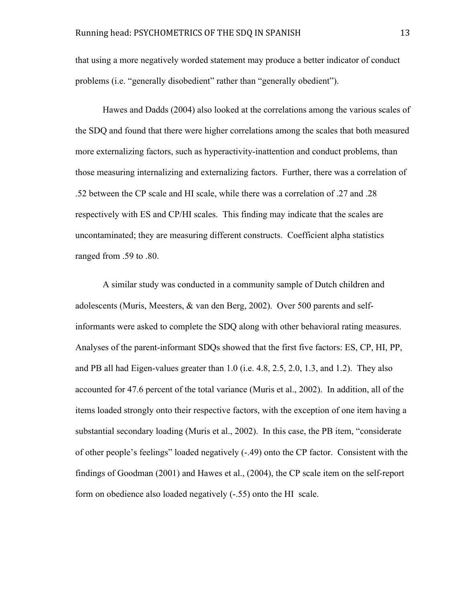that using a more negatively worded statement may produce a better indicator of conduct problems (i.e. "generally disobedient" rather than "generally obedient").

Hawes and Dadds (2004) also looked at the correlations among the various scales of the SDQ and found that there were higher correlations among the scales that both measured more externalizing factors, such as hyperactivity-inattention and conduct problems, than those measuring internalizing and externalizing factors. Further, there was a correlation of .52 between the CP scale and HI scale, while there was a correlation of .27 and .28 respectively with ES and CP/HI scales. This finding may indicate that the scales are uncontaminated; they are measuring different constructs. Coefficient alpha statistics ranged from .59 to .80.

A similar study was conducted in a community sample of Dutch children and adolescents (Muris, Meesters, & van den Berg, 2002). Over 500 parents and selfinformants were asked to complete the SDQ along with other behavioral rating measures. Analyses of the parent-informant SDQs showed that the first five factors: ES, CP, HI, PP, and PB all had Eigen-values greater than 1.0 (i.e. 4.8, 2.5, 2.0, 1.3, and 1.2). They also accounted for 47.6 percent of the total variance (Muris et al., 2002). In addition, all of the items loaded strongly onto their respective factors, with the exception of one item having a substantial secondary loading (Muris et al., 2002). In this case, the PB item, "considerate of other people's feelings" loaded negatively (-.49) onto the CP factor. Consistent with the findings of Goodman (2001) and Hawes et al., (2004), the CP scale item on the self-report form on obedience also loaded negatively (-.55) onto the HI scale.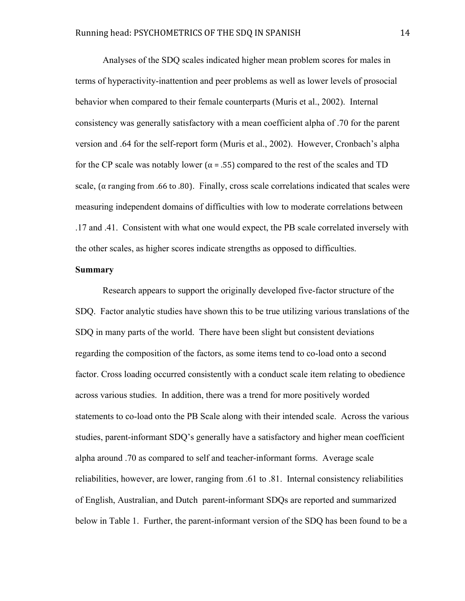Analyses of the SDQ scales indicated higher mean problem scores for males in terms of hyperactivity-inattention and peer problems as well as lower levels of prosocial behavior when compared to their female counterparts (Muris et al., 2002). Internal consistency was generally satisfactory with a mean coefficient alpha of .70 for the parent version and .64 for the self-report form (Muris et al., 2002). However, Cronbach's alpha for the CP scale was notably lower ( $\alpha$  = .55) compared to the rest of the scales and TD scale, ( $\alpha$  ranging from .66 to .80). Finally, cross scale correlations indicated that scales were measuring independent domains of difficulties with low to moderate correlations between .17 and .41. Consistent with what one would expect, the PB scale correlated inversely with the other scales, as higher scores indicate strengths as opposed to difficulties.

### **Summary**

Research appears to support the originally developed five-factor structure of the SDQ. Factor analytic studies have shown this to be true utilizing various translations of the SDQ in many parts of the world. There have been slight but consistent deviations regarding the composition of the factors, as some items tend to co-load onto a second factor. Cross loading occurred consistently with a conduct scale item relating to obedience across various studies. In addition, there was a trend for more positively worded statements to co-load onto the PB Scale along with their intended scale. Across the various studies, parent-informant SDQ's generally have a satisfactory and higher mean coefficient alpha around .70 as compared to self and teacher-informant forms. Average scale reliabilities, however, are lower, ranging from .61 to .81. Internal consistency reliabilities of English, Australian, and Dutch parent-informant SDQs are reported and summarized below in Table 1. Further, the parent-informant version of the SDQ has been found to be a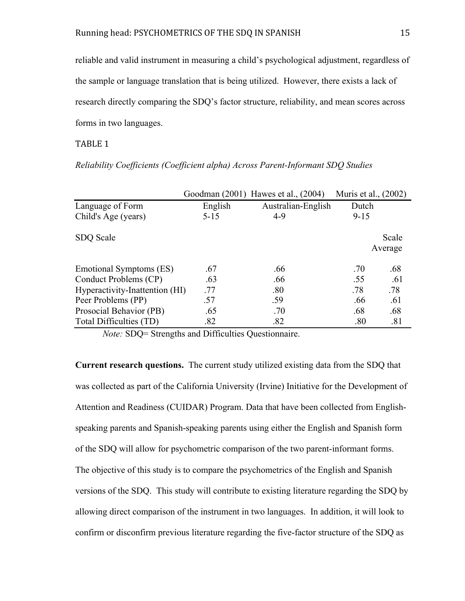reliable and valid instrument in measuring a child's psychological adjustment, regardless of the sample or language translation that is being utilized. However, there exists a lack of research directly comparing the SDQ's factor structure, reliability, and mean scores across forms in two languages.

## TABLE
1

|                                |          | Goodman (2001) Hawes et al., (2004) | Muris et al., (2002) |       |
|--------------------------------|----------|-------------------------------------|----------------------|-------|
| Language of Form               | English  | Australian-English                  | Dutch                |       |
| Child's Age (years)            | $5 - 15$ | $4-9$                               | $9 - 15$             |       |
| SDQ Scale                      |          |                                     | Average              | Scale |
| Emotional Symptoms (ES)        | .67      | .66                                 | .70                  | .68   |
| Conduct Problems (CP)          | .63      | .66                                 | .55                  | .61   |
| Hyperactivity-Inattention (HI) | .77      | .80                                 | .78                  | .78   |
| Peer Problems (PP)             | .57      | .59                                 | .66                  | .61   |
| Prosocial Behavior (PB)        | .65      | .70                                 | .68                  | .68   |
| Total Difficulties (TD)        | .82      | .82                                 | .80                  | .81   |

*Reliability Coefficients (Coefficient alpha) Across Parent-Informant SDQ Studies*

*Note:* SDQ= Strengths and Difficulties Questionnaire.

**Current research questions.** The current study utilized existing data from the SDQ that was collected as part of the California University (Irvine) Initiative for the Development of Attention and Readiness (CUIDAR) Program. Data that have been collected from Englishspeaking parents and Spanish-speaking parents using either the English and Spanish form of the SDQ will allow for psychometric comparison of the two parent-informant forms. The objective of this study is to compare the psychometrics of the English and Spanish versions of the SDQ. This study will contribute to existing literature regarding the SDQ by allowing direct comparison of the instrument in two languages. In addition, it will look to confirm or disconfirm previous literature regarding the five-factor structure of the SDQ as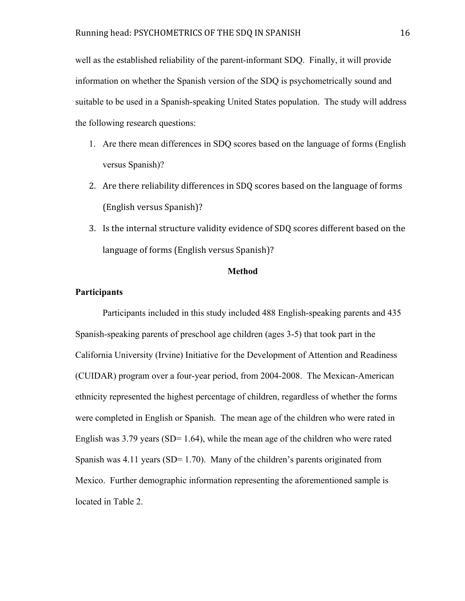well as the established reliability of the parent-informant SDQ. Finally, it will provide information on whether the Spanish version of the SDQ is psychometrically sound and suitable to be used in a Spanish-speaking United States population. The study will address the following research questions:

- 1. Are there mean differences in SDQ scores based on the language of forms (English versus Spanish)?
- 2. Are
there
reliability
differences
in
SDQ
scores
based
on
the
language
of
forms (English
versus
Spanish)?
- 3. Is
the
internal
structure
validity
evidence
of
SDQ
scores
different
based
on
the language
of
forms
(English
versus
Spanish)?

## **Method**

## **Participants**

Participants included in this study included 488 English-speaking parents and 435 Spanish-speaking parents of preschool age children (ages 3-5) that took part in the California University (Irvine) Initiative for the Development of Attention and Readiness (CUIDAR) program over a four-year period, from 2004-2008. The Mexican-American ethnicity represented the highest percentage of children, regardless of whether the forms were completed in English or Spanish. The mean age of the children who were rated in English was  $3.79$  years (SD= 1.64), while the mean age of the children who were rated Spanish was  $4.11$  years (SD= 1.70). Many of the children's parents originated from Mexico. Further demographic information representing the aforementioned sample is located in Table 2.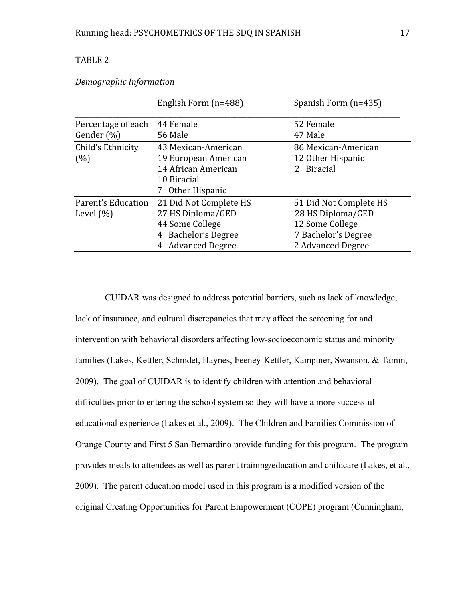## TABLE
2

## *Demographic
Information*

|                    | English Form (n=488)   | Spanish Form (n=435)   |  |
|--------------------|------------------------|------------------------|--|
| Percentage of each | 44 Female              | 52 Female              |  |
| Gender $(\%)$      | 56 Male                | 47 Male                |  |
| Child's Ethnicity  | 43 Mexican-American    | 86 Mexican-American    |  |
| (%)                | 19 European American   | 12 Other Hispanic      |  |
|                    | 14 African American    | 2 Biracial             |  |
|                    | 10 Biracial            |                        |  |
|                    | Other Hispanic         |                        |  |
| Parent's Education | 21 Did Not Complete HS | 51 Did Not Complete HS |  |
| Level $(\% )$      | 27 HS Diploma/GED      | 28 HS Diploma/GED      |  |
|                    | 44 Some College        | 12 Some College        |  |
|                    | 4 Bachelor's Degree    | 7 Bachelor's Degree    |  |
|                    | 4 Advanced Degree      | 2 Advanced Degree      |  |

 CUIDAR was designed to address potential barriers, such as lack of knowledge, lack of insurance, and cultural discrepancies that may affect the screening for and intervention with behavioral disorders affecting low-socioeconomic status and minority families (Lakes, Kettler, Schmdet, Haynes, Feeney-Kettler, Kamptner, Swanson, & Tamm, 2009). The goal of CUIDAR is to identify children with attention and behavioral difficulties prior to entering the school system so they will have a more successful educational experience (Lakes et al., 2009). The Children and Families Commission of Orange County and First 5 San Bernardino provide funding for this program. The program provides meals to attendees as well as parent training/education and childcare (Lakes, et al., 2009). The parent education model used in this program is a modified version of the original Creating Opportunities for Parent Empowerment (COPE) program (Cunningham,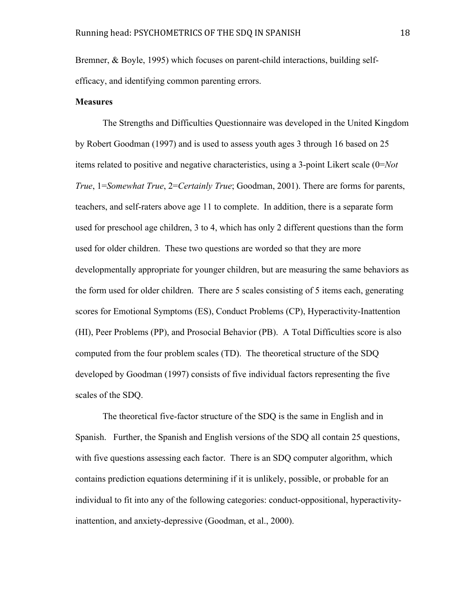Bremner, & Boyle, 1995) which focuses on parent-child interactions, building selfefficacy, and identifying common parenting errors.

#### **Measures**

The Strengths and Difficulties Questionnaire was developed in the United Kingdom by Robert Goodman (1997) and is used to assess youth ages 3 through 16 based on 25 items related to positive and negative characteristics, using a 3-point Likert scale (0=*Not True*, 1=*Somewhat True*, 2=*Certainly True*; Goodman, 2001). There are forms for parents, teachers, and self-raters above age 11 to complete. In addition, there is a separate form used for preschool age children, 3 to 4, which has only 2 different questions than the form used for older children. These two questions are worded so that they are more developmentally appropriate for younger children, but are measuring the same behaviors as the form used for older children. There are 5 scales consisting of 5 items each, generating scores for Emotional Symptoms (ES), Conduct Problems (CP), Hyperactivity-Inattention (HI), Peer Problems (PP), and Prosocial Behavior (PB). A Total Difficulties score is also computed from the four problem scales (TD). The theoretical structure of the SDQ developed by Goodman (1997) consists of five individual factors representing the five scales of the SDQ.

The theoretical five-factor structure of the SDQ is the same in English and in Spanish. Further, the Spanish and English versions of the SDQ all contain 25 questions, with five questions assessing each factor. There is an SDQ computer algorithm, which contains prediction equations determining if it is unlikely, possible, or probable for an individual to fit into any of the following categories: conduct-oppositional, hyperactivityinattention, and anxiety-depressive (Goodman, et al., 2000).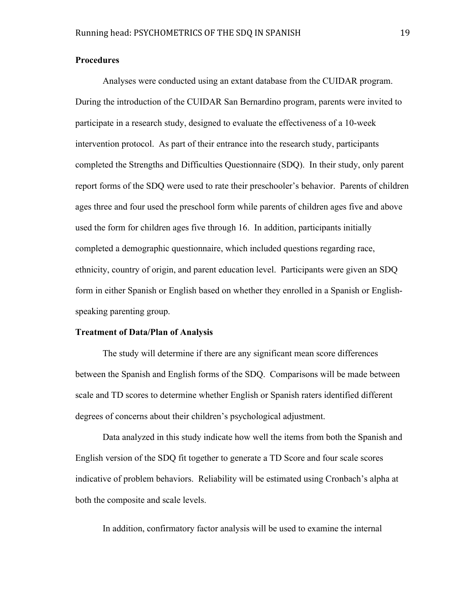## **Procedures**

Analyses were conducted using an extant database from the CUIDAR program. During the introduction of the CUIDAR San Bernardino program, parents were invited to participate in a research study, designed to evaluate the effectiveness of a 10-week intervention protocol. As part of their entrance into the research study, participants completed the Strengths and Difficulties Questionnaire (SDQ). In their study, only parent report forms of the SDQ were used to rate their preschooler's behavior. Parents of children ages three and four used the preschool form while parents of children ages five and above used the form for children ages five through 16. In addition, participants initially completed a demographic questionnaire, which included questions regarding race, ethnicity, country of origin, and parent education level. Participants were given an SDQ form in either Spanish or English based on whether they enrolled in a Spanish or Englishspeaking parenting group.

#### **Treatment of Data/Plan of Analysis**

The study will determine if there are any significant mean score differences between the Spanish and English forms of the SDQ. Comparisons will be made between scale and TD scores to determine whether English or Spanish raters identified different degrees of concerns about their children's psychological adjustment.

Data analyzed in this study indicate how well the items from both the Spanish and English version of the SDQ fit together to generate a TD Score and four scale scores indicative of problem behaviors. Reliability will be estimated using Cronbach's alpha at both the composite and scale levels.

In addition, confirmatory factor analysis will be used to examine the internal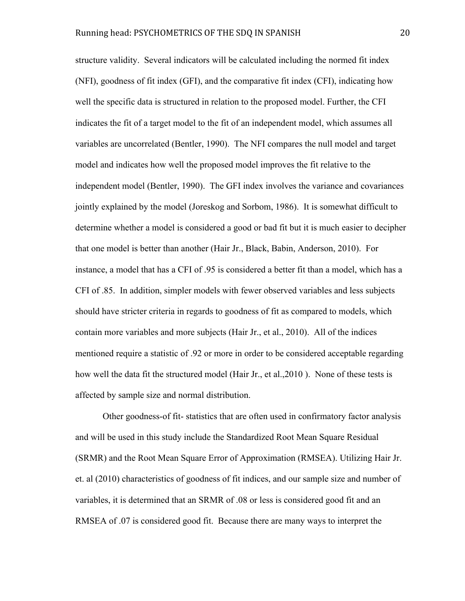structure validity. Several indicators will be calculated including the normed fit index (NFI), goodness of fit index (GFI), and the comparative fit index (CFI), indicating how well the specific data is structured in relation to the proposed model. Further, the CFI indicates the fit of a target model to the fit of an independent model, which assumes all variables are uncorrelated (Bentler, 1990). The NFI compares the null model and target model and indicates how well the proposed model improves the fit relative to the independent model (Bentler, 1990). The GFI index involves the variance and covariances jointly explained by the model (Joreskog and Sorbom, 1986). It is somewhat difficult to determine whether a model is considered a good or bad fit but it is much easier to decipher that one model is better than another (Hair Jr., Black, Babin, Anderson, 2010). For instance, a model that has a CFI of .95 is considered a better fit than a model, which has a CFI of .85. In addition, simpler models with fewer observed variables and less subjects should have stricter criteria in regards to goodness of fit as compared to models, which contain more variables and more subjects (Hair Jr., et al., 2010). All of the indices mentioned require a statistic of .92 or more in order to be considered acceptable regarding how well the data fit the structured model (Hair Jr., et al.,2010 ). None of these tests is affected by sample size and normal distribution.

Other goodness-of fit- statistics that are often used in confirmatory factor analysis and will be used in this study include the Standardized Root Mean Square Residual (SRMR) and the Root Mean Square Error of Approximation (RMSEA). Utilizing Hair Jr. et. al (2010) characteristics of goodness of fit indices, and our sample size and number of variables, it is determined that an SRMR of .08 or less is considered good fit and an RMSEA of .07 is considered good fit. Because there are many ways to interpret the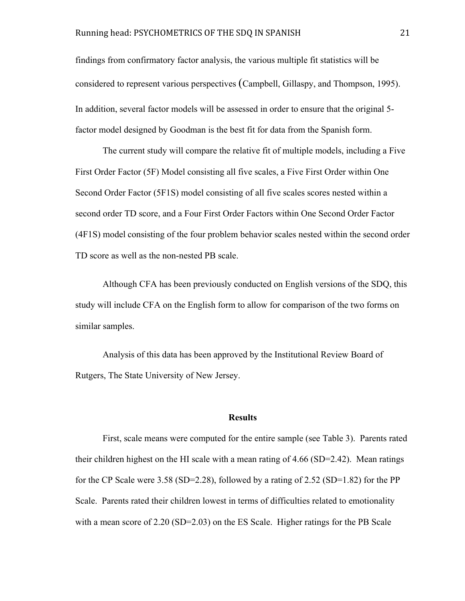findings from confirmatory factor analysis, the various multiple fit statistics will be considered to represent various perspectives (Campbell, Gillaspy, and Thompson, 1995). In addition, several factor models will be assessed in order to ensure that the original 5 factor model designed by Goodman is the best fit for data from the Spanish form.

The current study will compare the relative fit of multiple models, including a Five First Order Factor (5F) Model consisting all five scales, a Five First Order within One Second Order Factor (5F1S) model consisting of all five scales scores nested within a second order TD score, and a Four First Order Factors within One Second Order Factor (4F1S) model consisting of the four problem behavior scales nested within the second order TD score as well as the non-nested PB scale.

Although CFA has been previously conducted on English versions of the SDQ, this study will include CFA on the English form to allow for comparison of the two forms on similar samples.

Analysis of this data has been approved by the Institutional Review Board of Rutgers, The State University of New Jersey.

## **Results**

First, scale means were computed for the entire sample (see Table 3). Parents rated their children highest on the HI scale with a mean rating of 4.66 (SD=2.42). Mean ratings for the CP Scale were 3.58 (SD=2.28), followed by a rating of 2.52 (SD=1.82) for the PP Scale. Parents rated their children lowest in terms of difficulties related to emotionality with a mean score of 2.20 (SD=2.03) on the ES Scale. Higher ratings for the PB Scale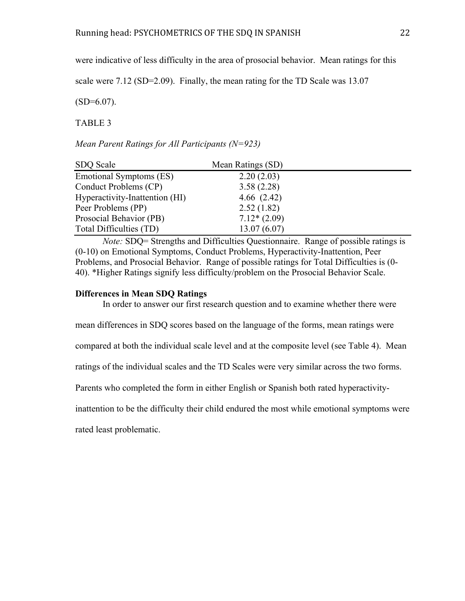were indicative of less difficulty in the area of prosocial behavior. Mean ratings for this

scale were 7.12 (SD=2.09). Finally, the mean rating for the TD Scale was 13.07

 $(SD=6.07)$ .

TABLE 3

*Mean Parent Ratings for All Participants (N=923)*

| SDQ Scale                      | Mean Ratings (SD) |
|--------------------------------|-------------------|
| Emotional Symptoms (ES)        | 2.20(2.03)        |
| Conduct Problems (CP)          | 3.58(2.28)        |
| Hyperactivity-Inattention (HI) | 4.66(2.42)        |
| Peer Problems (PP)             | 2.52(1.82)        |
| Prosocial Behavior (PB)        | $7.12*(2.09)$     |
| Total Difficulties (TD)        | 13.07(6.07)       |

*Note:* SDQ= Strengths and Difficulties Questionnaire. Range of possible ratings is (0-10) on Emotional Symptoms, Conduct Problems, Hyperactivity-Inattention, Peer Problems, and Prosocial Behavior. Range of possible ratings for Total Difficulties is (0- 40). \*Higher Ratings signify less difficulty/problem on the Prosocial Behavior Scale.

#### **Differences in Mean SDQ Ratings**

In order to answer our first research question and to examine whether there were

mean differences in SDQ scores based on the language of the forms, mean ratings were

compared at both the individual scale level and at the composite level (see Table 4). Mean

ratings of the individual scales and the TD Scales were very similar across the two forms.

Parents who completed the form in either English or Spanish both rated hyperactivity-

inattention to be the difficulty their child endured the most while emotional symptoms were

rated least problematic.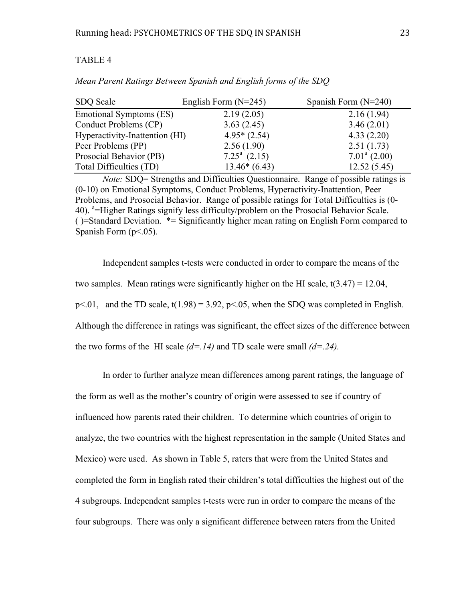## TABLE 4

| SDQ Scale                      | English Form $(N=245)$ | Spanish Form $(N=240)$ |
|--------------------------------|------------------------|------------------------|
| Emotional Symptoms (ES)        | 2.19(2.05)             | 2.16(1.94)             |
| Conduct Problems (CP)          | 3.63(2.45)             | 3.46(2.01)             |
| Hyperactivity-Inattention (HI) | $4.95*(2.54)$          | 4.33(2.20)             |
| Peer Problems (PP)             | 2.56(1.90)             | 2.51(1.73)             |
| Prosocial Behavior (PB)        | $7.25^a$ (2.15)        | $7.01^a$ (2.00)        |
| Total Difficulties (TD)        | $13.46*(6.43)$         | 12.52(5.45)            |

*Mean Parent Ratings Between Spanish and English forms of the SDQ*

*Note:* SDQ= Strengths and Difficulties Questionnaire. Range of possible ratings is (0-10) on Emotional Symptoms, Conduct Problems, Hyperactivity-Inattention, Peer Problems, and Prosocial Behavior. Range of possible ratings for Total Difficulties is (0- 40). <sup>a</sup>=Higher Ratings signify less difficulty/problem on the Prosocial Behavior Scale. ( )=Standard Deviation. \*= Significantly higher mean rating on English Form compared to Spanish Form  $(p<.05)$ .

Independent samples t-tests were conducted in order to compare the means of the two samples. Mean ratings were significantly higher on the HI scale,  $t(3.47) = 12.04$ ,  $p<.01$ , and the TD scale,  $t(1.98) = 3.92$ ,  $p<.05$ , when the SDQ was completed in English. Although the difference in ratings was significant, the effect sizes of the difference between the two forms of the HI scale  $(d=14)$  and TD scale were small  $(d=24)$ .

In order to further analyze mean differences among parent ratings, the language of the form as well as the mother's country of origin were assessed to see if country of influenced how parents rated their children. To determine which countries of origin to analyze, the two countries with the highest representation in the sample (United States and Mexico) were used. As shown in Table 5, raters that were from the United States and completed the form in English rated their children's total difficulties the highest out of the 4 subgroups. Independent samples t-tests were run in order to compare the means of the four subgroups.There was only a significant difference between raters from the United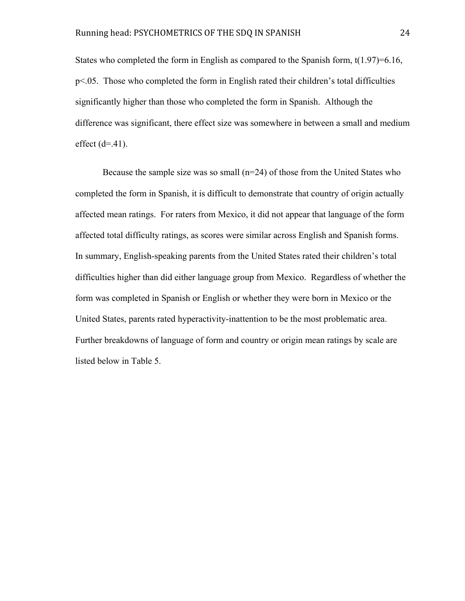States who completed the form in English as compared to the Spanish form,  $t(1.97)=6.16$ , p<.05. Those who completed the form in English rated their children's total difficulties significantly higher than those who completed the form in Spanish. Although the difference was significant, there effect size was somewhere in between a small and medium effect  $(d=41)$ .

Because the sample size was so small  $(n=24)$  of those from the United States who completed the form in Spanish, it is difficult to demonstrate that country of origin actually affected mean ratings. For raters from Mexico, it did not appear that language of the form affected total difficulty ratings, as scores were similar across English and Spanish forms. In summary, English-speaking parents from the United States rated their children's total difficulties higher than did either language group from Mexico. Regardless of whether the form was completed in Spanish or English or whether they were born in Mexico or the United States, parents rated hyperactivity-inattention to be the most problematic area. Further breakdowns of language of form and country or origin mean ratings by scale are listed below in Table 5.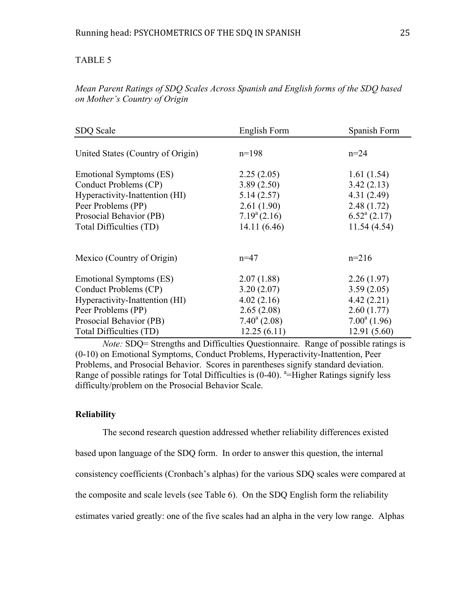## TABLE 5

| SDQ Scale                         | English Form          | Spanish Form             |
|-----------------------------------|-----------------------|--------------------------|
| United States (Country of Origin) | $n=198$               | $n = 24$                 |
| Emotional Symptoms (ES)           | 2.25(2.05)            | 1.61(1.54)               |
| Conduct Problems (CP)             | 3.89(2.50)            | 3.42(2.13)               |
| Hyperactivity-Inattention (HI)    | 5.14(2.57)            | 4.31(2.49)               |
| Peer Problems (PP)                | 2.61(1.90)            | 2.48(1.72)               |
| Prosocial Behavior (PB)           | $7.19^{\circ} (2.16)$ | $6.52^{\text{a}}$ (2.17) |
| Total Difficulties (TD)           | 14.11 (6.46)          | 11.54(4.54)              |
| Mexico (Country of Origin)        | $n=47$                | $n=216$                  |
| Emotional Symptoms (ES)           | 2.07(1.88)            | 2.26(1.97)               |
| Conduct Problems (CP)             | 3.20(2.07)            | 3.59(2.05)               |
| Hyperactivity-Inattention (HI)    | 4.02(2.16)            | 4.42(2.21)               |
| Peer Problems (PP)                | 2.65(2.08)            | 2.60(1.77)               |
| Prosocial Behavior (PB)           | $7.40^{\circ}$ (2.08) | $7.00^a(1.96)$           |
| Total Difficulties (TD)           | 12.25(6.11)           | 12.91(5.60)              |

*Mean Parent Ratings of SDQ Scales Across Spanish and English forms of the SDQ based on Mother's Country of Origin*

*Note:* SDQ= Strengths and Difficulties Questionnaire. Range of possible ratings is (0-10) on Emotional Symptoms, Conduct Problems, Hyperactivity-Inattention, Peer Problems, and Prosocial Behavior. Scores in parentheses signify standard deviation. Range of possible ratings for Total Difficulties is  $(0-40)$ . <sup>a</sup>=Higher Ratings signify less difficulty/problem on the Prosocial Behavior Scale.

#### **Reliability**

The second research question addressed whether reliability differences existed based upon language of the SDQ form. In order to answer this question, the internal consistency coefficients (Cronbach's alphas) for the various SDQ scales were compared at the composite and scale levels (see Table 6). On the SDQ English form the reliability estimates varied greatly: one of the five scales had an alpha in the very low range. Alphas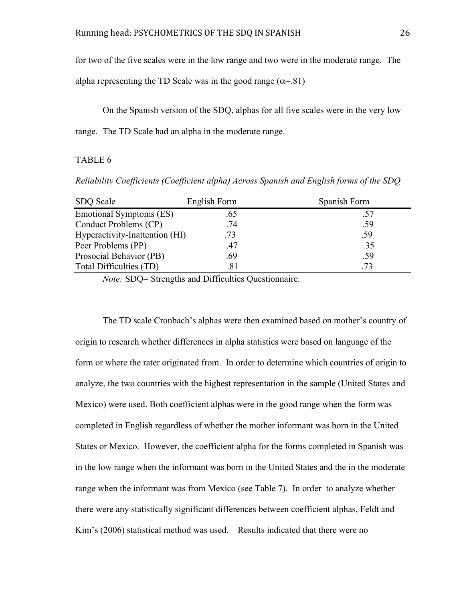for two of the five scales were in the low range and two were in the moderate range. The

alpha representing the TD Scale was in the good range ( $\alpha$ =.81)

On the Spanish version of the SDQ, alphas for all five scales were in the very low range. The TD Scale had an alpha in the moderate range.

### TABLE 6

*Reliability Coefficients (Coefficient alpha) Across Spanish and English forms of the SDQ*

| SDQ Scale                      | English Form | Spanish Form |
|--------------------------------|--------------|--------------|
| Emotional Symptoms (ES)        | .65          |              |
| Conduct Problems (CP)          | .74          | .59          |
| Hyperactivity-Inattention (HI) | .73          | .59          |
| Peer Problems (PP)             | .47          | .35          |
| Prosocial Behavior (PB)        | .69          | .59          |
| Total Difficulties (TD)        | .81          | .73          |

*Note:* SDQ= Strengths and Difficulties Questionnaire.

The TD scale Cronbach's alphas were then examined based on mother's country of origin to research whether differences in alpha statistics were based on language of the form or where the rater originated from. In order to determine which countries of origin to analyze, the two countries with the highest representation in the sample (United States and Mexico) were used. Both coefficient alphas were in the good range when the form was completed in English regardless of whether the mother informant was born in the United States or Mexico. However, the coefficient alpha for the forms completed in Spanish was in the low range when the informant was born in the United States and the in the moderate range when the informant was from Mexico (see Table 7). In order to analyze whether there were any statistically significant differences between coefficient alphas, Feldt and Kim's (2006) statistical method was used. Results indicated that there were no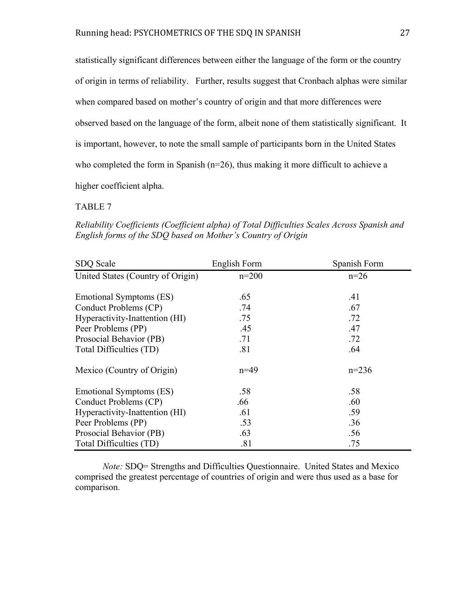statistically significant differences between either the language of the form or the country of origin in terms of reliability. Further, results suggest that Cronbach alphas were similar when compared based on mother's country of origin and that more differences were observed based on the language of the form, albeit none of them statistically significant. It is important, however, to note the small sample of participants born in the United States who completed the form in Spanish (n=26), thus making it more difficult to achieve a higher coefficient alpha.

### TABLE 7

*Reliability Coefficients (Coefficient alpha) of Total Difficulties Scales Across Spanish and English forms of the SDQ based on Mother's Country of Origin*

| SDQ Scale                         | English Form | Spanish Form |
|-----------------------------------|--------------|--------------|
| United States (Country of Origin) | $n=200$      | $n=26$       |
| Emotional Symptoms (ES)           | .65          | .41          |
| Conduct Problems (CP)             | .74          | .67          |
| Hyperactivity-Inattention (HI)    | .75          | .72          |
| Peer Problems (PP)                | .45          | .47          |
| Prosocial Behavior (PB)           | .71          | .72          |
| Total Difficulties (TD)           | .81          | .64          |
| Mexico (Country of Origin)        | $n=49$       | $n=236$      |
| Emotional Symptoms (ES)           | .58          | .58          |
| Conduct Problems (CP)             | .66          | .60          |
| Hyperactivity-Inattention (HI)    | .61          | .59          |
| Peer Problems (PP)                | .53          | .36          |
| Prosocial Behavior (PB)           | .63          | .56          |
| Total Difficulties (TD)           | .81          | .75          |

*Note:* SDQ= Strengths and Difficulties Questionnaire. United States and Mexico comprised the greatest percentage of countries of origin and were thus used as a base for comparison.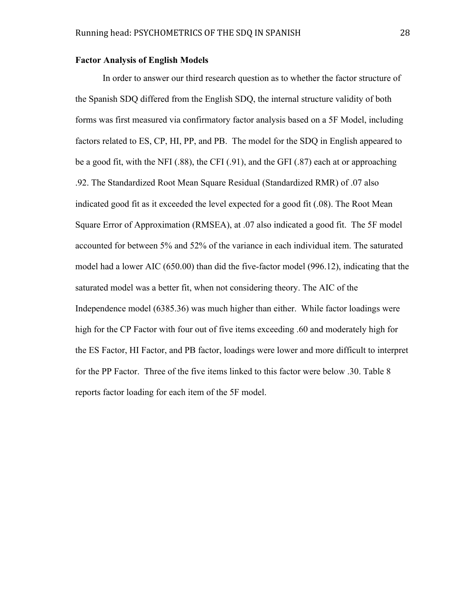#### **Factor Analysis of English Models**

In order to answer our third research question as to whether the factor structure of the Spanish SDQ differed from the English SDQ, the internal structure validity of both forms was first measured via confirmatory factor analysis based on a 5F Model, including factors related to ES, CP, HI, PP, and PB. The model for the SDQ in English appeared to be a good fit, with the NFI (.88), the CFI (.91), and the GFI (.87) each at or approaching .92. The Standardized Root Mean Square Residual (Standardized RMR) of .07 also indicated good fit as it exceeded the level expected for a good fit (.08). The Root Mean Square Error of Approximation (RMSEA), at .07 also indicated a good fit. The 5F model accounted for between 5% and 52% of the variance in each individual item. The saturated model had a lower AIC (650.00) than did the five-factor model (996.12), indicating that the saturated model was a better fit, when not considering theory. The AIC of the Independence model (6385.36) was much higher than either. While factor loadings were high for the CP Factor with four out of five items exceeding .60 and moderately high for the ES Factor, HI Factor, and PB factor, loadings were lower and more difficult to interpret for the PP Factor. Three of the five items linked to this factor were below .30. Table 8 reports factor loading for each item of the 5F model.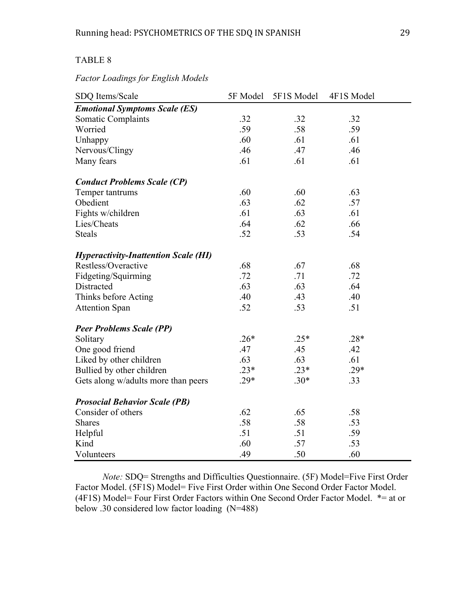## TABLE 8

#### *Factor Loadings for English Models*

| SDQ Items/Scale                             | 5F Model | 5F1S Model | 4F1S Model |
|---------------------------------------------|----------|------------|------------|
| <b>Emotional Symptoms Scale (ES)</b>        |          |            |            |
| Somatic Complaints                          | .32      | .32        | .32        |
| Worried                                     | .59      | .58        | .59        |
| Unhappy                                     | .60      | .61        | .61        |
| Nervous/Clingy                              | .46      | .47        | .46        |
| Many fears                                  | .61      | .61        | .61        |
| <b>Conduct Problems Scale (CP)</b>          |          |            |            |
| Temper tantrums                             | .60      | .60        | .63        |
| Obedient                                    | .63      | .62        | .57        |
| Fights w/children                           | .61      | .63        | .61        |
| Lies/Cheats                                 | .64      | .62        | .66        |
| <b>Steals</b>                               | .52      | .53        | .54        |
| <b>Hyperactivity-Inattention Scale (HI)</b> |          |            |            |
| Restless/Overactive                         | .68      | .67        | .68        |
| Fidgeting/Squirming                         | .72      | .71        | .72        |
| Distracted                                  | .63      | .63        | .64        |
| Thinks before Acting                        | .40      | .43        | .40        |
| <b>Attention Span</b>                       | .52      | .53        | .51        |
| <b>Peer Problems Scale (PP)</b>             |          |            |            |
| Solitary                                    | $.26*$   | $.25*$     | $.28*$     |
| One good friend                             | .47      | .45        | .42        |
| Liked by other children                     | .63      | .63        | .61        |
| Bullied by other children                   | $.23*$   | $.23*$     | $.29*$     |
| Gets along w/adults more than peers         | $.29*$   | $.30*$     | .33        |
| <b>Prosocial Behavior Scale (PB)</b>        |          |            |            |
| Consider of others                          | .62      | .65        | .58        |
| <b>Shares</b>                               | .58      | .58        | .53        |
| Helpful                                     | .51      | .51        | .59        |
| Kind                                        | .60      | .57        | .53        |
| Volunteers                                  | .49      | .50        | .60        |

*Note:* SDQ= Strengths and Difficulties Questionnaire. (5F) Model=Five First Order Factor Model. (5F1S) Model= Five First Order within One Second Order Factor Model. (4F1S) Model= Four First Order Factors within One Second Order Factor Model. \*= at or below .30 considered low factor loading (N=488)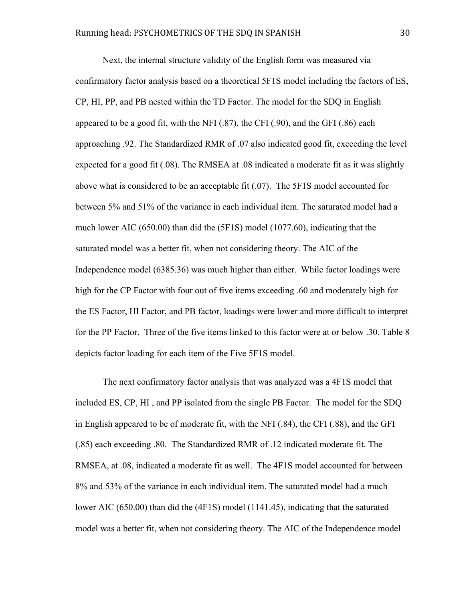Next, the internal structure validity of the English form was measured via confirmatory factor analysis based on a theoretical 5F1S model including the factors of ES, CP, HI, PP, and PB nested within the TD Factor. The model for the SDQ in English appeared to be a good fit, with the NFI (.87), the CFI (.90), and the GFI (.86) each approaching .92. The Standardized RMR of .07 also indicated good fit, exceeding the level expected for a good fit (.08). The RMSEA at .08 indicated a moderate fit as it was slightly above what is considered to be an acceptable fit (.07). The 5F1S model accounted for between 5% and 51% of the variance in each individual item. The saturated model had a much lower AIC (650.00) than did the (5F1S) model (1077.60), indicating that the saturated model was a better fit, when not considering theory. The AIC of the Independence model (6385.36) was much higher than either. While factor loadings were high for the CP Factor with four out of five items exceeding .60 and moderately high for the ES Factor, HI Factor, and PB factor, loadings were lower and more difficult to interpret for the PP Factor. Three of the five items linked to this factor were at or below .30. Table 8 depicts factor loading for each item of the Five 5F1S model.

The next confirmatory factor analysis that was analyzed was a 4F1S model that included ES, CP, HI , and PP isolated from the single PB Factor. The model for the SDQ in English appeared to be of moderate fit, with the NFI (.84), the CFI (.88), and the GFI (.85) each exceeding .80. The Standardized RMR of .12 indicated moderate fit. The RMSEA, at .08, indicated a moderate fit as well. The 4F1S model accounted for between 8% and 53% of the variance in each individual item. The saturated model had a much lower AIC (650.00) than did the (4F1S) model (1141.45), indicating that the saturated model was a better fit, when not considering theory. The AIC of the Independence model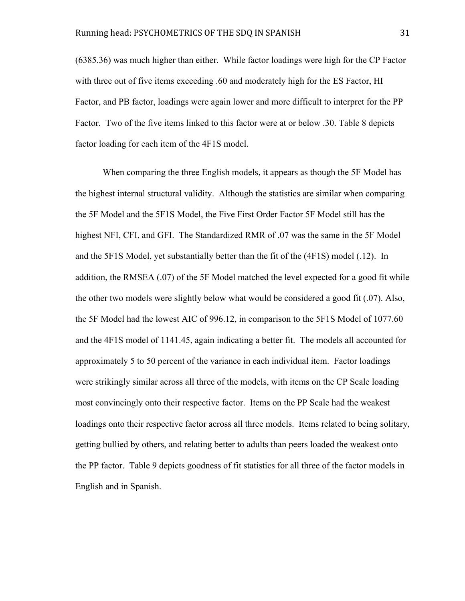(6385.36) was much higher than either. While factor loadings were high for the CP Factor with three out of five items exceeding .60 and moderately high for the ES Factor, HI Factor, and PB factor, loadings were again lower and more difficult to interpret for the PP Factor. Two of the five items linked to this factor were at or below .30. Table 8 depicts factor loading for each item of the 4F1S model.

When comparing the three English models, it appears as though the 5F Model has the highest internal structural validity. Although the statistics are similar when comparing the 5F Model and the 5F1S Model, the Five First Order Factor 5F Model still has the highest NFI, CFI, and GFI. The Standardized RMR of .07 was the same in the 5F Model and the 5F1S Model, yet substantially better than the fit of the (4F1S) model (.12). In addition, the RMSEA (.07) of the 5F Model matched the level expected for a good fit while the other two models were slightly below what would be considered a good fit (.07). Also, the 5F Model had the lowest AIC of 996.12, in comparison to the 5F1S Model of 1077.60 and the 4F1S model of 1141.45, again indicating a better fit. The models all accounted for approximately 5 to 50 percent of the variance in each individual item. Factor loadings were strikingly similar across all three of the models, with items on the CP Scale loading most convincingly onto their respective factor. Items on the PP Scale had the weakest loadings onto their respective factor across all three models. Items related to being solitary, getting bullied by others, and relating better to adults than peers loaded the weakest onto the PP factor. Table 9 depicts goodness of fit statistics for all three of the factor models in English and in Spanish.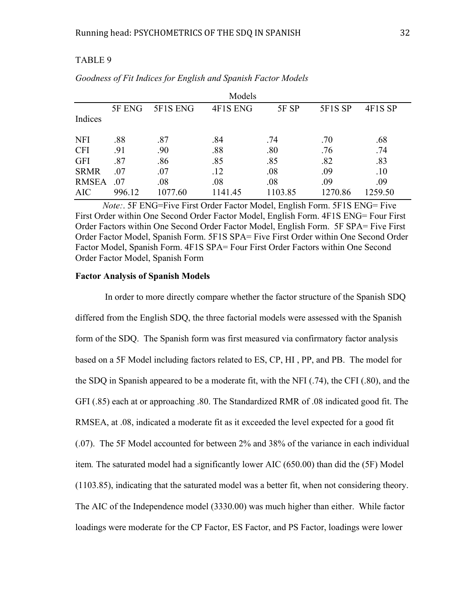## TABLE 9

| Models       |        |          |          |         |         |         |  |
|--------------|--------|----------|----------|---------|---------|---------|--|
|              | 5F ENG | 5F1S ENG | 4F1S ENG | 5F SP   | 5F1S SP | 4F1S SP |  |
| Indices      |        |          |          |         |         |         |  |
| <b>NFI</b>   | .88    | .87      | .84      | .74     | .70     | .68     |  |
| <b>CFI</b>   | .91    | .90      | .88      | .80     | .76     | .74     |  |
| <b>GFI</b>   | .87    | .86      | .85      | .85     | .82     | .83     |  |
| <b>SRMR</b>  | .07    | .07      | .12      | .08     | .09     | .10     |  |
| <b>RMSEA</b> | .07    | .08      | .08      | .08     | .09     | .09     |  |
| <b>AIC</b>   | 996.12 | 1077.60  | 1141.45  | 1103.85 | 1270.86 | 1259.50 |  |

*Goodness of Fit Indices for English and Spanish Factor Models*

*Note:*. 5F ENG=Five First Order Factor Model, English Form. 5F1S ENG= Five First Order within One Second Order Factor Model, English Form. 4F1S ENG= Four First Order Factors within One Second Order Factor Model, English Form. 5F SPA= Five First Order Factor Model, Spanish Form. 5F1S SPA= Five First Order within One Second Order Factor Model, Spanish Form. 4F1S SPA= Four First Order Factors within One Second Order Factor Model, Spanish Form

#### **Factor Analysis of Spanish Models**

 In order to more directly compare whether the factor structure of the Spanish SDQ differed from the English SDQ, the three factorial models were assessed with the Spanish form of the SDQ. The Spanish form was first measured via confirmatory factor analysis based on a 5F Model including factors related to ES, CP, HI , PP, and PB. The model for the SDQ in Spanish appeared to be a moderate fit, with the NFI (.74), the CFI (.80), and the GFI (.85) each at or approaching .80. The Standardized RMR of .08 indicated good fit. The RMSEA, at .08, indicated a moderate fit as it exceeded the level expected for a good fit (.07). The 5F Model accounted for between 2% and 38% of the variance in each individual item*.* The saturated model had a significantly lower AIC (650.00) than did the (5F) Model (1103.85), indicating that the saturated model was a better fit, when not considering theory. The AIC of the Independence model (3330.00) was much higher than either. While factor loadings were moderate for the CP Factor, ES Factor, and PS Factor, loadings were lower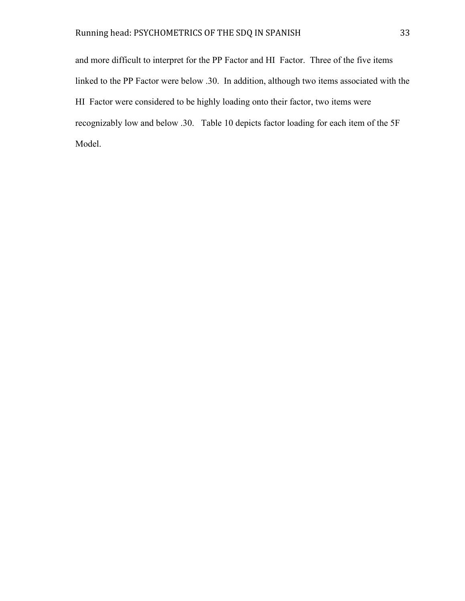and more difficult to interpret for the PP Factor and HI Factor. Three of the five items linked to the PP Factor were below .30. In addition, although two items associated with the HI Factor were considered to be highly loading onto their factor, two items were recognizably low and below .30.Table 10 depicts factor loading for each item of the 5F Model.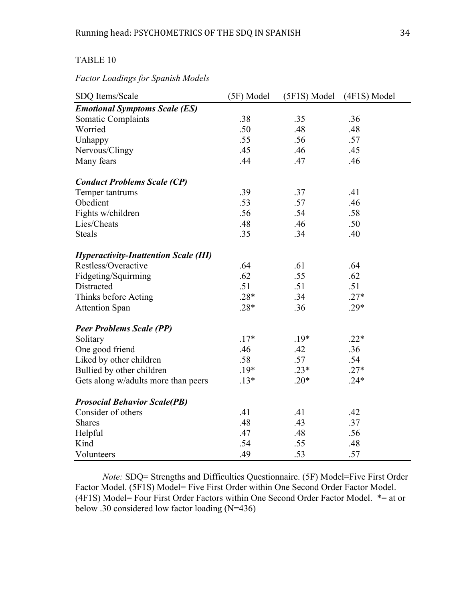# TABLE 10

# *Factor Loadings for Spanish Models*

| SDQ Items/Scale                             | (5F) Model | (5F1S) Model | (4F1S) Model |
|---------------------------------------------|------------|--------------|--------------|
| <b>Emotional Symptoms Scale (ES)</b>        |            |              |              |
| Somatic Complaints                          | .38        | .35          | .36          |
| Worried                                     | .50        | .48          | .48          |
| Unhappy                                     | .55        | .56          | .57          |
| Nervous/Clingy                              | .45        | .46          | .45          |
| Many fears                                  | .44        | .47          | .46          |
| <b>Conduct Problems Scale (CP)</b>          |            |              |              |
| Temper tantrums                             | .39        | .37          | .41          |
| Obedient                                    | .53        | .57          | .46          |
| Fights w/children                           | .56        | .54          | .58          |
| Lies/Cheats                                 | .48        | .46          | .50          |
| <b>Steals</b>                               | .35        | .34          | .40          |
| <b>Hyperactivity-Inattention Scale (HI)</b> |            |              |              |
| Restless/Overactive                         | .64        | .61          | .64          |
| Fidgeting/Squirming                         | .62        | .55          | .62          |
| Distracted                                  | .51        | .51          | .51          |
| Thinks before Acting                        | $.28*$     | .34          | $.27*$       |
| <b>Attention Span</b>                       | $.28*$     | .36          | $.29*$       |
| <b>Peer Problems Scale (PP)</b>             |            |              |              |
| Solitary                                    | $.17*$     | $.19*$       | $.22*$       |
| One good friend                             | .46        | .42          | .36          |
| Liked by other children                     | .58        | .57          | .54          |
| Bullied by other children                   | $.19*$     | $.23*$       | $.27*$       |
| Gets along w/adults more than peers         | $.13*$     | $.20*$       | $.24*$       |
| <b>Prosocial Behavior Scale(PB)</b>         |            |              |              |
| Consider of others                          | .41        | .41          | .42          |
| <b>Shares</b>                               | .48        | .43          | .37          |
| Helpful                                     | .47        | .48          | .56          |
| Kind                                        | .54        | .55          | .48          |
| Volunteers                                  | .49        | .53          | .57          |

*Note:* SDQ= Strengths and Difficulties Questionnaire. (5F) Model=Five First Order Factor Model. (5F1S) Model= Five First Order within One Second Order Factor Model. (4F1S) Model= Four First Order Factors within One Second Order Factor Model. \*= at or below .30 considered low factor loading (N=436)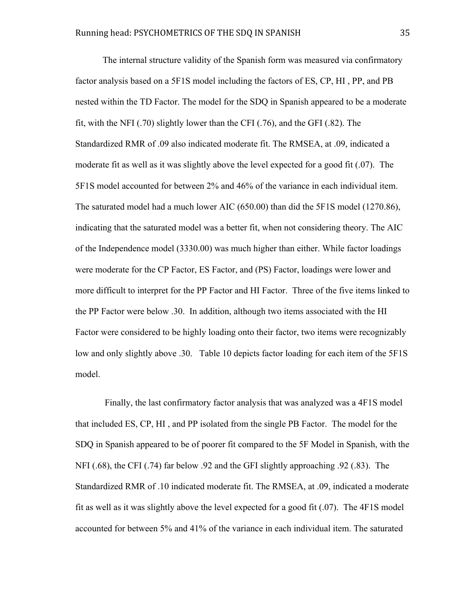The internal structure validity of the Spanish form was measured via confirmatory factor analysis based on a 5F1S model including the factors of ES, CP, HI , PP, and PB nested within the TD Factor. The model for the SDQ in Spanish appeared to be a moderate fit, with the NFI (.70) slightly lower than the CFI (.76), and the GFI (.82). The Standardized RMR of .09 also indicated moderate fit. The RMSEA, at .09, indicated a moderate fit as well as it was slightly above the level expected for a good fit (.07). The 5F1S model accounted for between 2% and 46% of the variance in each individual item. The saturated model had a much lower AIC (650.00) than did the 5F1S model (1270.86), indicating that the saturated model was a better fit, when not considering theory. The AIC of the Independence model (3330.00) was much higher than either. While factor loadings were moderate for the CP Factor, ES Factor, and (PS) Factor, loadings were lower and more difficult to interpret for the PP Factor and HI Factor. Three of the five items linked to the PP Factor were below .30. In addition, although two items associated with the HI Factor were considered to be highly loading onto their factor, two items were recognizably low and only slightly above .30.Table 10 depicts factor loading for each item of the 5F1S model.

Finally, the last confirmatory factor analysis that was analyzed was a 4F1S model that included ES, CP, HI , and PP isolated from the single PB Factor. The model for the SDQ in Spanish appeared to be of poorer fit compared to the 5F Model in Spanish, with the NFI (.68), the CFI (.74) far below .92 and the GFI slightly approaching .92 (.83). The Standardized RMR of .10 indicated moderate fit. The RMSEA, at .09, indicated a moderate fit as well as it was slightly above the level expected for a good fit (.07). The 4F1S model accounted for between 5% and 41% of the variance in each individual item. The saturated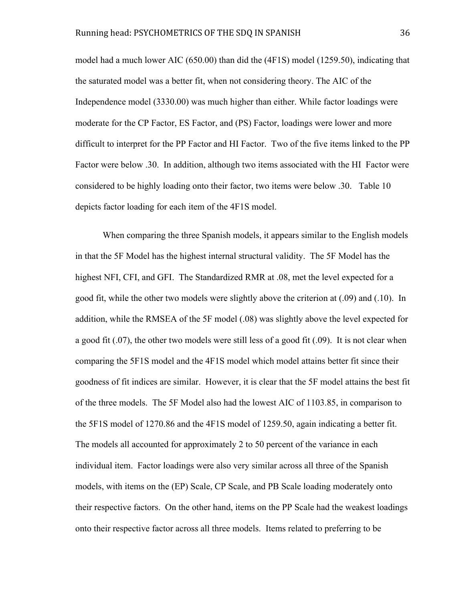model had a much lower AIC (650.00) than did the (4F1S) model (1259.50), indicating that the saturated model was a better fit, when not considering theory. The AIC of the Independence model (3330.00) was much higher than either. While factor loadings were moderate for the CP Factor, ES Factor, and (PS) Factor, loadings were lower and more difficult to interpret for the PP Factor and HI Factor. Two of the five items linked to the PP Factor were below .30. In addition, although two items associated with the HI Factor were considered to be highly loading onto their factor, two items were below .30.Table 10 depicts factor loading for each item of the 4F1S model.

When comparing the three Spanish models, it appears similar to the English models in that the 5F Model has the highest internal structural validity. The 5F Model has the highest NFI, CFI, and GFI. The Standardized RMR at .08, met the level expected for a good fit, while the other two models were slightly above the criterion at (.09) and (.10). In addition, while the RMSEA of the 5F model (.08) was slightly above the level expected for a good fit (.07), the other two models were still less of a good fit (.09). It is not clear when comparing the 5F1S model and the 4F1S model which model attains better fit since their goodness of fit indices are similar. However, it is clear that the 5F model attains the best fit of the three models. The 5F Model also had the lowest AIC of 1103.85, in comparison to the 5F1S model of 1270.86 and the 4F1S model of 1259.50, again indicating a better fit. The models all accounted for approximately 2 to 50 percent of the variance in each individual item. Factor loadings were also very similar across all three of the Spanish models, with items on the (EP) Scale, CP Scale, and PB Scale loading moderately onto their respective factors. On the other hand, items on the PP Scale had the weakest loadings onto their respective factor across all three models. Items related to preferring to be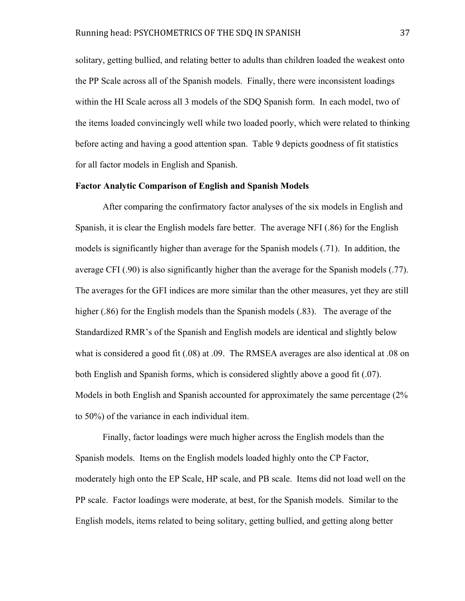solitary, getting bullied, and relating better to adults than children loaded the weakest onto the PP Scale across all of the Spanish models. Finally, there were inconsistent loadings within the HI Scale across all 3 models of the SDQ Spanish form. In each model, two of the items loaded convincingly well while two loaded poorly, which were related to thinking before acting and having a good attention span. Table 9 depicts goodness of fit statistics for all factor models in English and Spanish.

## **Factor Analytic Comparison of English and Spanish Models**

After comparing the confirmatory factor analyses of the six models in English and Spanish, it is clear the English models fare better. The average NFI (.86) for the English models is significantly higher than average for the Spanish models (.71). In addition, the average CFI (.90) is also significantly higher than the average for the Spanish models (.77). The averages for the GFI indices are more similar than the other measures, yet they are still higher (.86) for the English models than the Spanish models (.83). The average of the Standardized RMR's of the Spanish and English models are identical and slightly below what is considered a good fit (.08) at .09. The RMSEA averages are also identical at .08 on both English and Spanish forms, which is considered slightly above a good fit (.07). Models in both English and Spanish accounted for approximately the same percentage (2% to 50%) of the variance in each individual item.

Finally, factor loadings were much higher across the English models than the Spanish models. Items on the English models loaded highly onto the CP Factor, moderately high onto the EP Scale, HP scale, and PB scale. Items did not load well on the PP scale. Factor loadings were moderate, at best, for the Spanish models. Similar to the English models, items related to being solitary, getting bullied, and getting along better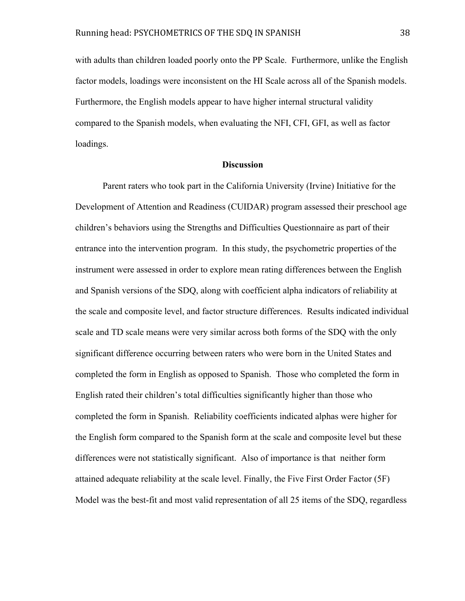with adults than children loaded poorly onto the PP Scale. Furthermore, unlike the English factor models, loadings were inconsistent on the HI Scale across all of the Spanish models. Furthermore, the English models appear to have higher internal structural validity compared to the Spanish models, when evaluating the NFI, CFI, GFI, as well as factor loadings.

## **Discussion**

Parent raters who took part in the California University (Irvine) Initiative for the Development of Attention and Readiness (CUIDAR) program assessed their preschool age children's behaviors using the Strengths and Difficulties Questionnaire as part of their entrance into the intervention program. In this study, the psychometric properties of the instrument were assessed in order to explore mean rating differences between the English and Spanish versions of the SDQ, along with coefficient alpha indicators of reliability at the scale and composite level, and factor structure differences. Results indicated individual scale and TD scale means were very similar across both forms of the SDQ with the only significant difference occurring between raters who were born in the United States and completed the form in English as opposed to Spanish. Those who completed the form in English rated their children's total difficulties significantly higher than those who completed the form in Spanish. Reliability coefficients indicated alphas were higher for the English form compared to the Spanish form at the scale and composite level but these differences were not statistically significant. Also of importance is that neither form attained adequate reliability at the scale level. Finally, the Five First Order Factor (5F) Model was the best-fit and most valid representation of all 25 items of the SDQ, regardless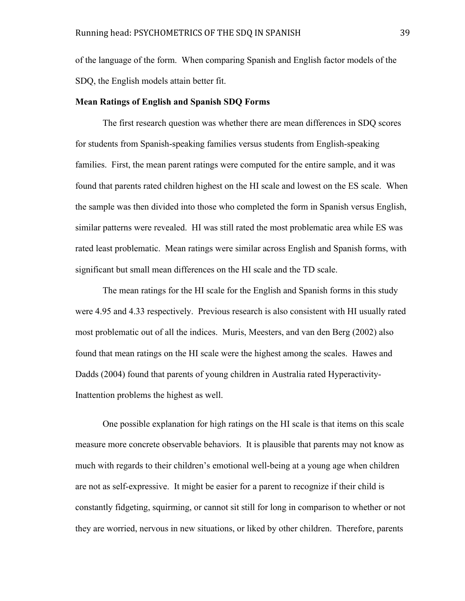of the language of the form. When comparing Spanish and English factor models of the SDQ, the English models attain better fit.

#### **Mean Ratings of English and Spanish SDQ Forms**

The first research question was whether there are mean differences in SDQ scores for students from Spanish-speaking families versus students from English-speaking families. First, the mean parent ratings were computed for the entire sample, and it was found that parents rated children highest on the HI scale and lowest on the ES scale. When the sample was then divided into those who completed the form in Spanish versus English, similar patterns were revealed. HI was still rated the most problematic area while ES was rated least problematic. Mean ratings were similar across English and Spanish forms, with significant but small mean differences on the HI scale and the TD scale.

The mean ratings for the HI scale for the English and Spanish forms in this study were 4.95 and 4.33 respectively. Previous research is also consistent with HI usually rated most problematic out of all the indices. Muris, Meesters, and van den Berg (2002) also found that mean ratings on the HI scale were the highest among the scales. Hawes and Dadds (2004) found that parents of young children in Australia rated Hyperactivity-Inattention problems the highest as well.

One possible explanation for high ratings on the HI scale is that items on this scale measure more concrete observable behaviors. It is plausible that parents may not know as much with regards to their children's emotional well-being at a young age when children are not as self-expressive. It might be easier for a parent to recognize if their child is constantly fidgeting, squirming, or cannot sit still for long in comparison to whether or not they are worried, nervous in new situations, or liked by other children. Therefore, parents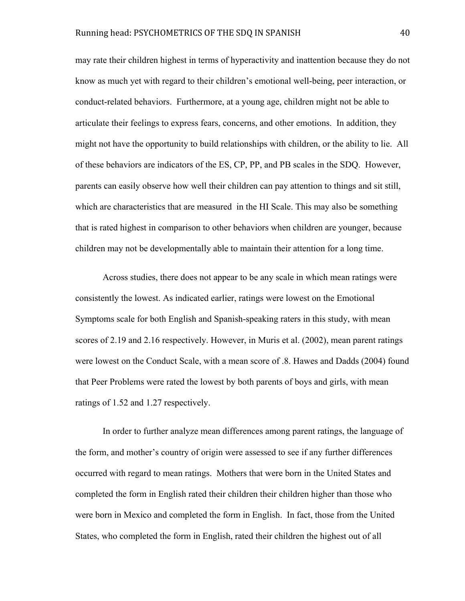may rate their children highest in terms of hyperactivity and inattention because they do not know as much yet with regard to their children's emotional well-being, peer interaction, or conduct-related behaviors. Furthermore, at a young age, children might not be able to articulate their feelings to express fears, concerns, and other emotions. In addition, they might not have the opportunity to build relationships with children, or the ability to lie. All of these behaviors are indicators of the ES, CP, PP, and PB scales in the SDQ. However, parents can easily observe how well their children can pay attention to things and sit still, which are characteristics that are measured in the HI Scale. This may also be something that is rated highest in comparison to other behaviors when children are younger, because children may not be developmentally able to maintain their attention for a long time.

Across studies, there does not appear to be any scale in which mean ratings were consistently the lowest. As indicated earlier, ratings were lowest on the Emotional Symptoms scale for both English and Spanish-speaking raters in this study, with mean scores of 2.19 and 2.16 respectively. However, in Muris et al. (2002), mean parent ratings were lowest on the Conduct Scale, with a mean score of .8. Hawes and Dadds (2004) found that Peer Problems were rated the lowest by both parents of boys and girls, with mean ratings of 1.52 and 1.27 respectively.

In order to further analyze mean differences among parent ratings, the language of the form, and mother's country of origin were assessed to see if any further differences occurred with regard to mean ratings. Mothers that were born in the United States and completed the form in English rated their children their children higher than those who were born in Mexico and completed the form in English. In fact, those from the United States, who completed the form in English, rated their children the highest out of all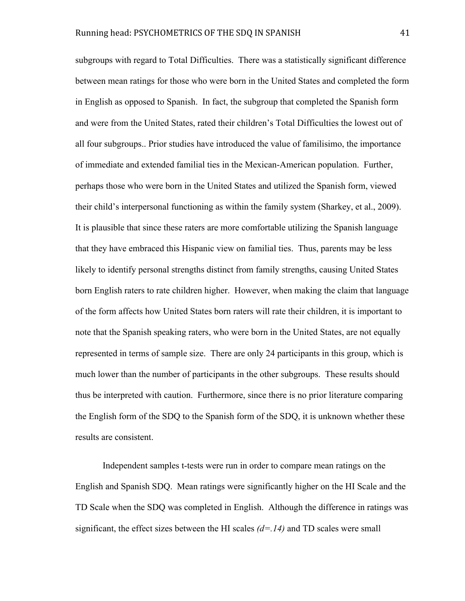subgroups with regard to Total Difficulties. There was a statistically significant difference between mean ratings for those who were born in the United States and completed the form in English as opposed to Spanish. In fact, the subgroup that completed the Spanish form and were from the United States, rated their children's Total Difficulties the lowest out of all four subgroups.. Prior studies have introduced the value of familisimo, the importance of immediate and extended familial ties in the Mexican-American population. Further, perhaps those who were born in the United States and utilized the Spanish form, viewed their child's interpersonal functioning as within the family system (Sharkey, et al., 2009). It is plausible that since these raters are more comfortable utilizing the Spanish language that they have embraced this Hispanic view on familial ties. Thus, parents may be less likely to identify personal strengths distinct from family strengths, causing United States born English raters to rate children higher. However, when making the claim that language of the form affects how United States born raters will rate their children, it is important to note that the Spanish speaking raters, who were born in the United States, are not equally represented in terms of sample size. There are only 24 participants in this group, which is much lower than the number of participants in the other subgroups. These results should thus be interpreted with caution. Furthermore, since there is no prior literature comparing the English form of the SDQ to the Spanish form of the SDQ, it is unknown whether these results are consistent.

Independent samples t-tests were run in order to compare mean ratings on the English and Spanish SDQ. Mean ratings were significantly higher on the HI Scale and the TD Scale when the SDQ was completed in English. Although the difference in ratings was significant, the effect sizes between the HI scales *(d=.14)* and TD scales were small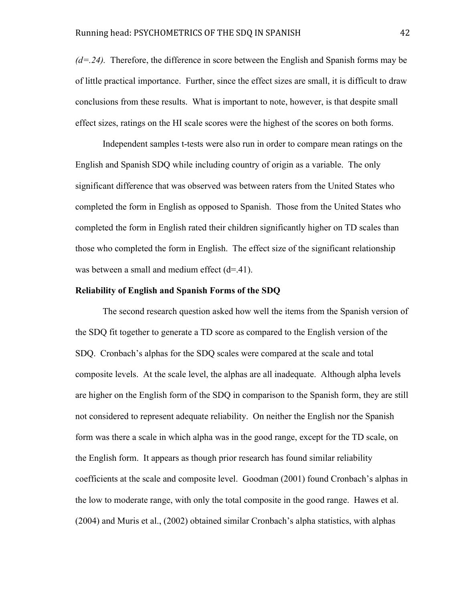*(d=.24).* Therefore, the difference in score between the English and Spanish forms may be of little practical importance. Further, since the effect sizes are small, it is difficult to draw conclusions from these results. What is important to note, however, is that despite small effect sizes, ratings on the HI scale scores were the highest of the scores on both forms.

Independent samples t-tests were also run in order to compare mean ratings on the English and Spanish SDQ while including country of origin as a variable. The only significant difference that was observed was between raters from the United States who completed the form in English as opposed to Spanish. Those from the United States who completed the form in English rated their children significantly higher on TD scales than those who completed the form in English. The effect size of the significant relationship was between a small and medium effect  $(d=41)$ .

#### **Reliability of English and Spanish Forms of the SDQ**

The second research question asked how well the items from the Spanish version of the SDQ fit together to generate a TD score as compared to the English version of the SDQ. Cronbach's alphas for the SDQ scales were compared at the scale and total composite levels. At the scale level, the alphas are all inadequate. Although alpha levels are higher on the English form of the SDQ in comparison to the Spanish form, they are still not considered to represent adequate reliability. On neither the English nor the Spanish form was there a scale in which alpha was in the good range, except for the TD scale, on the English form. It appears as though prior research has found similar reliability coefficients at the scale and composite level. Goodman (2001) found Cronbach's alphas in the low to moderate range, with only the total composite in the good range. Hawes et al. (2004) and Muris et al., (2002) obtained similar Cronbach's alpha statistics, with alphas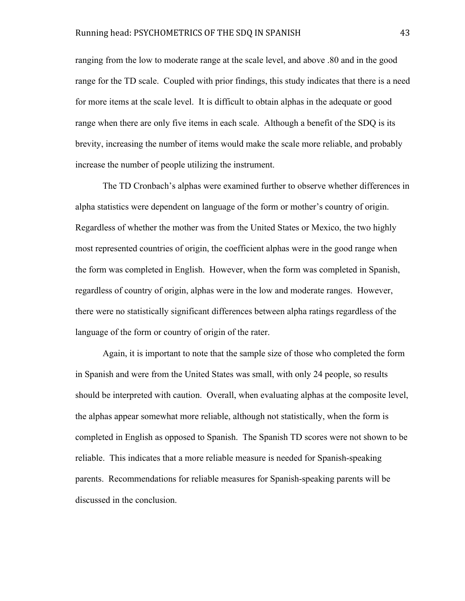ranging from the low to moderate range at the scale level, and above .80 and in the good range for the TD scale. Coupled with prior findings, this study indicates that there is a need for more items at the scale level. It is difficult to obtain alphas in the adequate or good range when there are only five items in each scale. Although a benefit of the SDQ is its brevity, increasing the number of items would make the scale more reliable, and probably increase the number of people utilizing the instrument.

The TD Cronbach's alphas were examined further to observe whether differences in alpha statistics were dependent on language of the form or mother's country of origin. Regardless of whether the mother was from the United States or Mexico, the two highly most represented countries of origin, the coefficient alphas were in the good range when the form was completed in English. However, when the form was completed in Spanish, regardless of country of origin, alphas were in the low and moderate ranges. However, there were no statistically significant differences between alpha ratings regardless of the language of the form or country of origin of the rater.

Again, it is important to note that the sample size of those who completed the form in Spanish and were from the United States was small, with only 24 people, so results should be interpreted with caution. Overall, when evaluating alphas at the composite level, the alphas appear somewhat more reliable, although not statistically, when the form is completed in English as opposed to Spanish. The Spanish TD scores were not shown to be reliable. This indicates that a more reliable measure is needed for Spanish-speaking parents. Recommendations for reliable measures for Spanish-speaking parents will be discussed in the conclusion.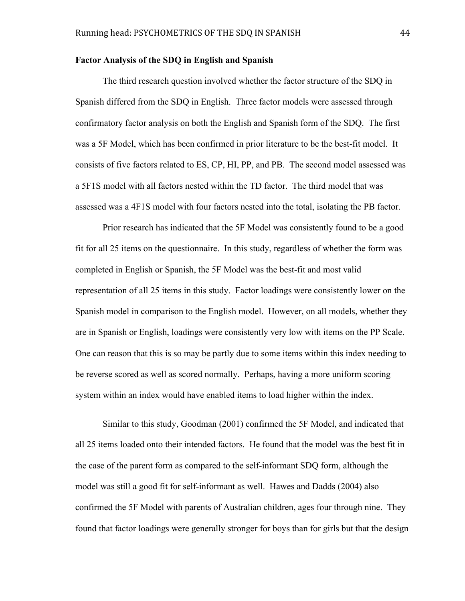#### **Factor Analysis of the SDQ in English and Spanish**

The third research question involved whether the factor structure of the SDQ in Spanish differed from the SDQ in English. Three factor models were assessed through confirmatory factor analysis on both the English and Spanish form of the SDQ. The first was a 5F Model, which has been confirmed in prior literature to be the best-fit model. It consists of five factors related to ES, CP, HI, PP, and PB. The second model assessed was a 5F1S model with all factors nested within the TD factor. The third model that was assessed was a 4F1S model with four factors nested into the total, isolating the PB factor.

Prior research has indicated that the 5F Model was consistently found to be a good fit for all 25 items on the questionnaire. In this study, regardless of whether the form was completed in English or Spanish, the 5F Model was the best-fit and most valid representation of all 25 items in this study. Factor loadings were consistently lower on the Spanish model in comparison to the English model. However, on all models, whether they are in Spanish or English, loadings were consistently very low with items on the PP Scale. One can reason that this is so may be partly due to some items within this index needing to be reverse scored as well as scored normally. Perhaps, having a more uniform scoring system within an index would have enabled items to load higher within the index.

Similar to this study, Goodman (2001) confirmed the 5F Model, and indicated that all 25 items loaded onto their intended factors. He found that the model was the best fit in the case of the parent form as compared to the self-informant SDQ form, although the model was still a good fit for self-informant as well. Hawes and Dadds (2004) also confirmed the 5F Model with parents of Australian children, ages four through nine. They found that factor loadings were generally stronger for boys than for girls but that the design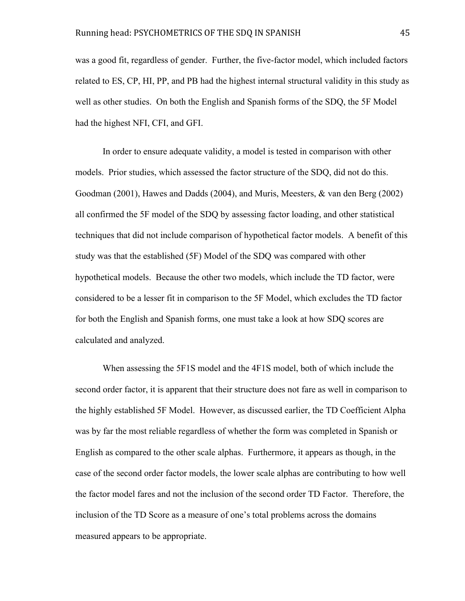was a good fit, regardless of gender. Further, the five-factor model, which included factors related to ES, CP, HI, PP, and PB had the highest internal structural validity in this study as well as other studies. On both the English and Spanish forms of the SDQ, the 5F Model had the highest NFI, CFI, and GFI.

In order to ensure adequate validity, a model is tested in comparison with other models. Prior studies, which assessed the factor structure of the SDQ, did not do this. Goodman (2001), Hawes and Dadds (2004), and Muris, Meesters, & van den Berg (2002) all confirmed the 5F model of the SDQ by assessing factor loading, and other statistical techniques that did not include comparison of hypothetical factor models. A benefit of this study was that the established (5F) Model of the SDQ was compared with other hypothetical models. Because the other two models, which include the TD factor, were considered to be a lesser fit in comparison to the 5F Model, which excludes the TD factor for both the English and Spanish forms, one must take a look at how SDQ scores are calculated and analyzed.

When assessing the 5F1S model and the 4F1S model, both of which include the second order factor, it is apparent that their structure does not fare as well in comparison to the highly established 5F Model. However, as discussed earlier, the TD Coefficient Alpha was by far the most reliable regardless of whether the form was completed in Spanish or English as compared to the other scale alphas. Furthermore, it appears as though, in the case of the second order factor models, the lower scale alphas are contributing to how well the factor model fares and not the inclusion of the second order TD Factor. Therefore, the inclusion of the TD Score as a measure of one's total problems across the domains measured appears to be appropriate.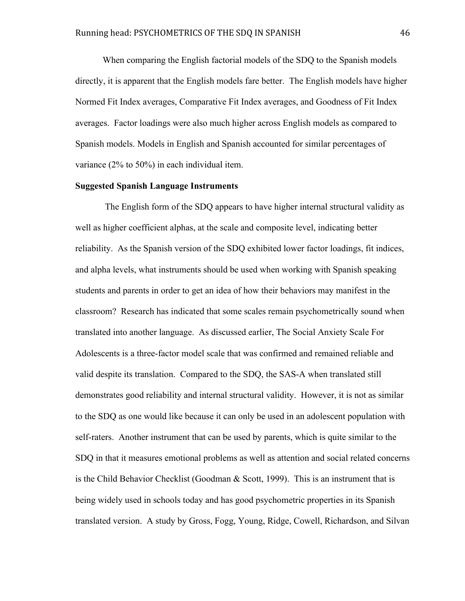When comparing the English factorial models of the SDQ to the Spanish models directly, it is apparent that the English models fare better. The English models have higher Normed Fit Index averages, Comparative Fit Index averages, and Goodness of Fit Index averages. Factor loadings were also much higher across English models as compared to Spanish models. Models in English and Spanish accounted for similar percentages of variance (2% to 50%) in each individual item.

#### **Suggested Spanish Language Instruments**

The English form of the SDQ appears to have higher internal structural validity as well as higher coefficient alphas, at the scale and composite level, indicating better reliability. As the Spanish version of the SDQ exhibited lower factor loadings, fit indices, and alpha levels, what instruments should be used when working with Spanish speaking students and parents in order to get an idea of how their behaviors may manifest in the classroom? Research has indicated that some scales remain psychometrically sound when translated into another language. As discussed earlier, The Social Anxiety Scale For Adolescents is a three-factor model scale that was confirmed and remained reliable and valid despite its translation. Compared to the SDQ, the SAS-A when translated still demonstrates good reliability and internal structural validity. However, it is not as similar to the SDQ as one would like because it can only be used in an adolescent population with self-raters. Another instrument that can be used by parents, which is quite similar to the SDQ in that it measures emotional problems as well as attention and social related concerns is the Child Behavior Checklist (Goodman & Scott, 1999). This is an instrument that is being widely used in schools today and has good psychometric properties in its Spanish translated version. A study by Gross, Fogg, Young, Ridge, Cowell, Richardson, and Silvan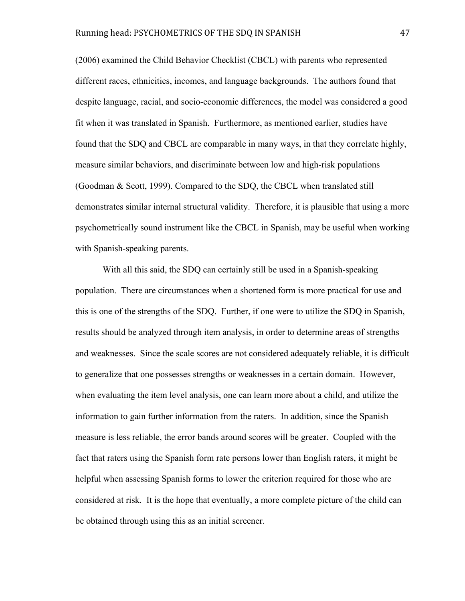(2006) examined the Child Behavior Checklist (CBCL) with parents who represented different races, ethnicities, incomes, and language backgrounds. The authors found that despite language, racial, and socio-economic differences, the model was considered a good fit when it was translated in Spanish. Furthermore, as mentioned earlier, studies have found that the SDQ and CBCL are comparable in many ways, in that they correlate highly, measure similar behaviors, and discriminate between low and high-risk populations (Goodman & Scott, 1999). Compared to the SDQ, the CBCL when translated still demonstrates similar internal structural validity. Therefore, it is plausible that using a more psychometrically sound instrument like the CBCL in Spanish, may be useful when working with Spanish-speaking parents.

With all this said, the SDQ can certainly still be used in a Spanish-speaking population. There are circumstances when a shortened form is more practical for use and this is one of the strengths of the SDQ. Further, if one were to utilize the SDQ in Spanish, results should be analyzed through item analysis, in order to determine areas of strengths and weaknesses. Since the scale scores are not considered adequately reliable, it is difficult to generalize that one possesses strengths or weaknesses in a certain domain. However, when evaluating the item level analysis, one can learn more about a child, and utilize the information to gain further information from the raters. In addition, since the Spanish measure is less reliable, the error bands around scores will be greater. Coupled with the fact that raters using the Spanish form rate persons lower than English raters, it might be helpful when assessing Spanish forms to lower the criterion required for those who are considered at risk. It is the hope that eventually, a more complete picture of the child can be obtained through using this as an initial screener.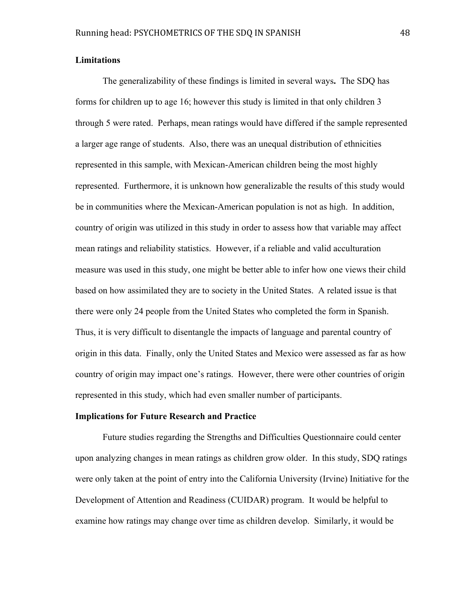#### **Limitations**

The generalizability of these findings is limited in several ways**.** The SDQ has forms for children up to age 16; however this study is limited in that only children 3 through 5 were rated. Perhaps, mean ratings would have differed if the sample represented a larger age range of students. Also, there was an unequal distribution of ethnicities represented in this sample, with Mexican-American children being the most highly represented. Furthermore, it is unknown how generalizable the results of this study would be in communities where the Mexican-American population is not as high. In addition, country of origin was utilized in this study in order to assess how that variable may affect mean ratings and reliability statistics. However, if a reliable and valid acculturation measure was used in this study, one might be better able to infer how one views their child based on how assimilated they are to society in the United States. A related issue is that there were only 24 people from the United States who completed the form in Spanish. Thus, it is very difficult to disentangle the impacts of language and parental country of origin in this data. Finally, only the United States and Mexico were assessed as far as how country of origin may impact one's ratings. However, there were other countries of origin represented in this study, which had even smaller number of participants.

#### **Implications for Future Research and Practice**

Future studies regarding the Strengths and Difficulties Questionnaire could center upon analyzing changes in mean ratings as children grow older. In this study, SDQ ratings were only taken at the point of entry into the California University (Irvine) Initiative for the Development of Attention and Readiness (CUIDAR) program. It would be helpful to examine how ratings may change over time as children develop. Similarly, it would be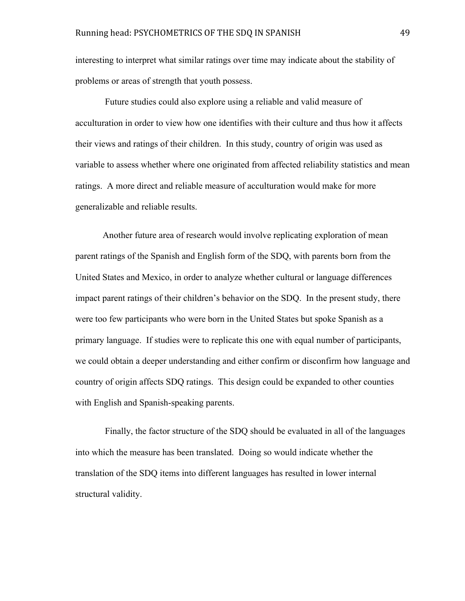interesting to interpret what similar ratings over time may indicate about the stability of problems or areas of strength that youth possess.

 Future studies could also explore using a reliable and valid measure of acculturation in order to view how one identifies with their culture and thus how it affects their views and ratings of their children. In this study, country of origin was used as variable to assess whether where one originated from affected reliability statistics and mean ratings. A more direct and reliable measure of acculturation would make for more generalizable and reliable results.

Another future area of research would involve replicating exploration of mean parent ratings of the Spanish and English form of the SDQ, with parents born from the United States and Mexico, in order to analyze whether cultural or language differences impact parent ratings of their children's behavior on the SDQ. In the present study, there were too few participants who were born in the United States but spoke Spanish as a primary language. If studies were to replicate this one with equal number of participants, we could obtain a deeper understanding and either confirm or disconfirm how language and country of origin affects SDQ ratings. This design could be expanded to other counties with English and Spanish-speaking parents.

 Finally, the factor structure of the SDQ should be evaluated in all of the languages into which the measure has been translated. Doing so would indicate whether the translation of the SDQ items into different languages has resulted in lower internal structural validity.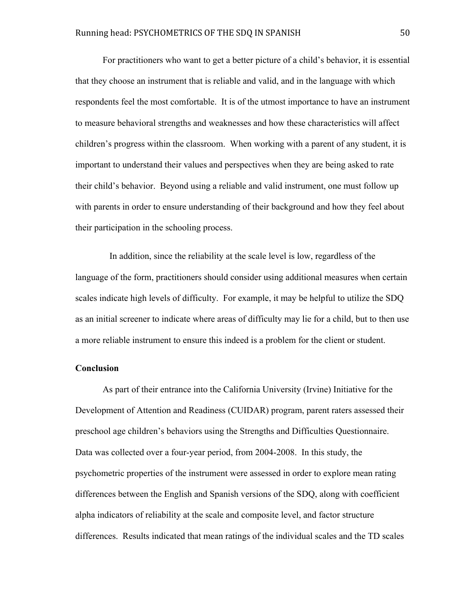For practitioners who want to get a better picture of a child's behavior, it is essential that they choose an instrument that is reliable and valid, and in the language with which respondents feel the most comfortable. It is of the utmost importance to have an instrument to measure behavioral strengths and weaknesses and how these characteristics will affect children's progress within the classroom. When working with a parent of any student, it is important to understand their values and perspectives when they are being asked to rate their child's behavior. Beyond using a reliable and valid instrument, one must follow up with parents in order to ensure understanding of their background and how they feel about their participation in the schooling process.

 In addition, since the reliability at the scale level is low, regardless of the language of the form, practitioners should consider using additional measures when certain scales indicate high levels of difficulty. For example, it may be helpful to utilize the SDQ as an initial screener to indicate where areas of difficulty may lie for a child, but to then use a more reliable instrument to ensure this indeed is a problem for the client or student.

#### **Conclusion**

As part of their entrance into the California University (Irvine) Initiative for the Development of Attention and Readiness (CUIDAR) program, parent raters assessed their preschool age children's behaviors using the Strengths and Difficulties Questionnaire. Data was collected over a four-year period, from 2004-2008. In this study, the psychometric properties of the instrument were assessed in order to explore mean rating differences between the English and Spanish versions of the SDQ, along with coefficient alpha indicators of reliability at the scale and composite level, and factor structure differences. Results indicated that mean ratings of the individual scales and the TD scales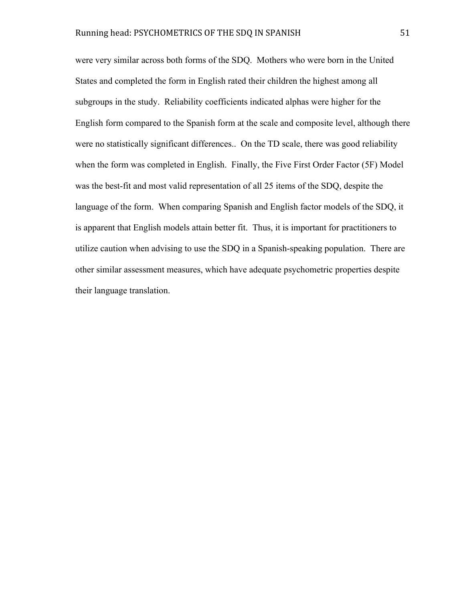were very similar across both forms of the SDQ. Mothers who were born in the United States and completed the form in English rated their children the highest among all subgroups in the study. Reliability coefficients indicated alphas were higher for the English form compared to the Spanish form at the scale and composite level, although there were no statistically significant differences.. On the TD scale, there was good reliability when the form was completed in English. Finally, the Five First Order Factor (5F) Model was the best-fit and most valid representation of all 25 items of the SDQ, despite the language of the form. When comparing Spanish and English factor models of the SDQ, it is apparent that English models attain better fit. Thus, it is important for practitioners to utilize caution when advising to use the SDQ in a Spanish-speaking population. There are other similar assessment measures, which have adequate psychometric properties despite their language translation.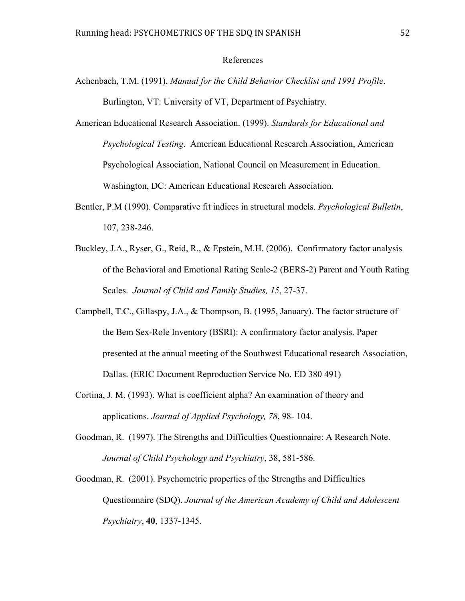#### References

- Achenbach, T.M. (1991). *Manual for the Child Behavior Checklist and 1991 Profile*. Burlington, VT: University of VT, Department of Psychiatry.
- American Educational Research Association. (1999). *Standards for Educational and Psychological Testing*. American Educational Research Association, American Psychological Association, National Council on Measurement in Education. Washington, DC: American Educational Research Association.
- Bentler, P.M (1990). Comparative fit indices in structural models. *Psychological Bulletin*, 107, 238-246.
- Buckley, J.A., Ryser, G., Reid, R., & Epstein, M.H. (2006). Confirmatory factor analysis of the Behavioral and Emotional Rating Scale-2 (BERS-2) Parent and Youth Rating Scales. *Journal of Child and Family Studies, 15*, 27-37.
- Campbell, T.C., Gillaspy, J.A., & Thompson, B. (1995, January). The factor structure of the Bem Sex-Role Inventory (BSRI): A confirmatory factor analysis. Paper presented at the annual meeting of the Southwest Educational research Association, Dallas. (ERIC Document Reproduction Service No. ED 380 491)
- Cortina, J. M. (1993). What is coefficient alpha? An examination of theory and applications. *Journal of Applied Psychology, 78*, 98- 104.
- Goodman, R. (1997). The Strengths and Difficulties Questionnaire: A Research Note. *Journal of Child Psychology and Psychiatry*, 38, 581-586.
- Goodman, R. (2001). Psychometric properties of the Strengths and Difficulties Questionnaire (SDQ). *Journal of the American Academy of Child and Adolescent Psychiatry*, **40**, 1337-1345.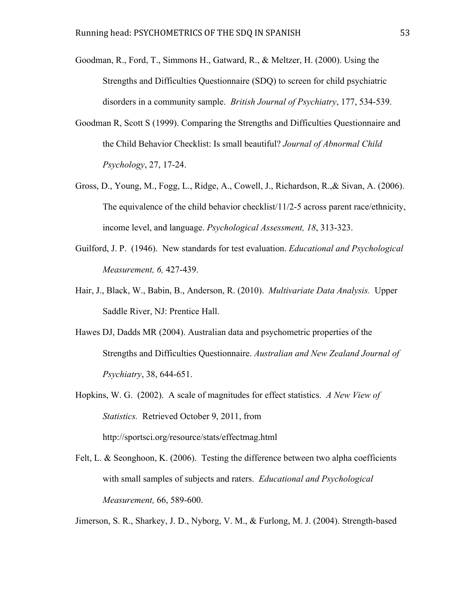- Goodman, R., Ford, T., Simmons H., Gatward, R., & Meltzer, H. (2000). Using the Strengths and Difficulties Questionnaire (SDQ) to screen for child psychiatric disorders in a community sample. *British Journal of Psychiatry*, 177, 534-539.
- Goodman R, Scott S (1999). Comparing the Strengths and Difficulties Questionnaire and the Child Behavior Checklist: Is small beautiful? *Journal of Abnormal Child Psychology*, 27, 17-24.
- Gross, D., Young, M., Fogg, L., Ridge, A., Cowell, J., Richardson, R.,& Sivan, A. (2006). The equivalence of the child behavior checklist/11/2-5 across parent race/ethnicity, income level, and language. *Psychological Assessment, 18*, 313-323.
- Guilford, J. P. (1946). New standards for test evaluation. *Educational and Psychological Measurement, 6,* 427-439.
- Hair, J., Black, W., Babin, B., Anderson, R. (2010). *Multivariate Data Analysis.* Upper Saddle River, NJ: Prentice Hall.
- Hawes DJ, Dadds MR (2004). Australian data and psychometric properties of the Strengths and Difficulties Questionnaire. *Australian and New Zealand Journal of Psychiatry*, 38, 644-651.
- Hopkins, W. G. (2002). A scale of magnitudes for effect statistics. *A New View of Statistics.* Retrieved October 9, 2011, from http://sportsci.org/resource/stats/effectmag.html
- Felt, L. & Seonghoon, K. (2006). Testing the difference between two alpha coefficients with small samples of subjects and raters. *Educational and Psychological Measurement,* 66, 589-600.

Jimerson, S. R., Sharkey, J. D., Nyborg, V. M., & Furlong, M. J. (2004). Strength-based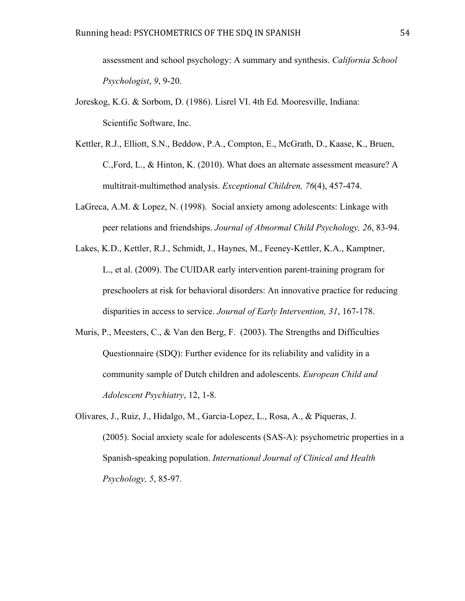assessment and school psychology: A summary and synthesis. *California School Psychologist*, *9*, 9-20.

- Joreskog, K.G. & Sorbom, D. (1986). Lisrel VI. 4th Ed. Mooresville, Indiana: Scientific Software, Inc.
- Kettler, R.J., Elliott, S.N., Beddow, P.A., Compton, E., McGrath, D., Kaase, K., Bruen, C.,Ford, L., & Hinton, K. (2010). What does an alternate assessment measure? A multitrait-multimethod analysis. *Exceptional Children, 76*(4), 457-474.
- LaGreca, A.M. & Lopez, N. (1998). Social anxiety among adolescents: Linkage with peer relations and friendships. *Journal of Abnormal Child Psychology, 26*, 83-94.
- Lakes, K.D., Kettler, R.J., Schmidt, J., Haynes, M., Feeney-Kettler, K.A., Kamptner, L., et al. (2009). The CUIDAR early intervention parent-training program for preschoolers at risk for behavioral disorders: An innovative practice for reducing disparities in access to service. *Journal of Early Intervention, 31*, 167-178.
- Muris, P., Meesters, C., & Van den Berg, F. (2003). The Strengths and Difficulties Questionnaire (SDQ): Further evidence for its reliability and validity in a community sample of Dutch children and adolescents. *European Child and Adolescent Psychiatry*, 12, 1-8.
- Olivares, J., Ruiz, J., Hidalgo, M., Garcia-Lopez, L., Rosa, A., & Piqueras, J. (2005). Social anxiety scale for adolescents (SAS-A): psychometric properties in a Spanish-speaking population. *International Journal of Clinical and Health Psychology, 5*, 85-97.